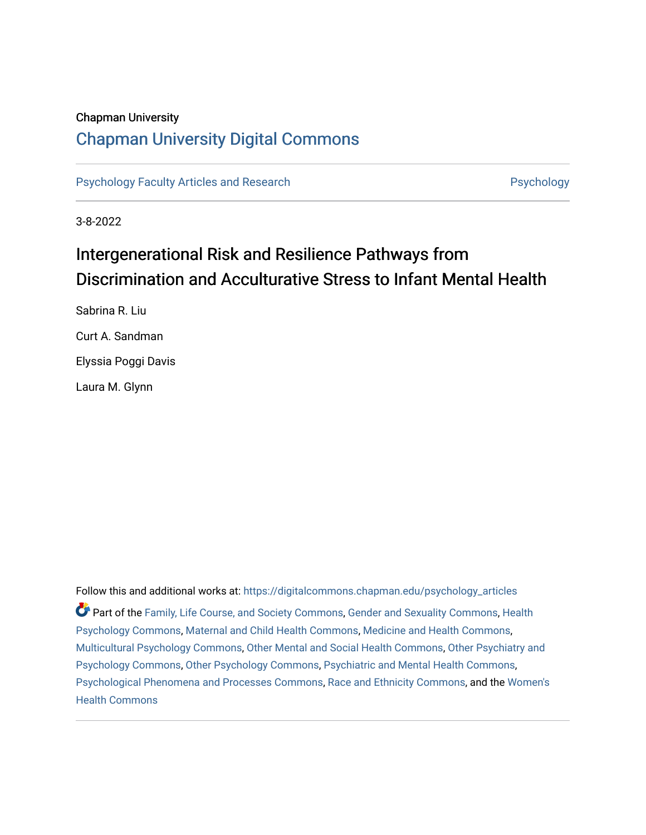## Chapman University

## [Chapman University Digital Commons](https://digitalcommons.chapman.edu/)

[Psychology Faculty Articles and Research](https://digitalcommons.chapman.edu/psychology_articles) **Psychology** Psychology

3-8-2022

# Intergenerational Risk and Resilience Pathways from Discrimination and Acculturative Stress to Infant Mental Health

Sabrina R. Liu Curt A. Sandman Elyssia Poggi Davis Laura M. Glynn

Follow this and additional works at: [https://digitalcommons.chapman.edu/psychology\\_articles](https://digitalcommons.chapman.edu/psychology_articles?utm_source=digitalcommons.chapman.edu%2Fpsychology_articles%2F286&utm_medium=PDF&utm_campaign=PDFCoverPages) Part of the [Family, Life Course, and Society Commons,](http://network.bepress.com/hgg/discipline/419?utm_source=digitalcommons.chapman.edu%2Fpsychology_articles%2F286&utm_medium=PDF&utm_campaign=PDFCoverPages) [Gender and Sexuality Commons](http://network.bepress.com/hgg/discipline/420?utm_source=digitalcommons.chapman.edu%2Fpsychology_articles%2F286&utm_medium=PDF&utm_campaign=PDFCoverPages), [Health](http://network.bepress.com/hgg/discipline/411?utm_source=digitalcommons.chapman.edu%2Fpsychology_articles%2F286&utm_medium=PDF&utm_campaign=PDFCoverPages)  [Psychology Commons,](http://network.bepress.com/hgg/discipline/411?utm_source=digitalcommons.chapman.edu%2Fpsychology_articles%2F286&utm_medium=PDF&utm_campaign=PDFCoverPages) [Maternal and Child Health Commons,](http://network.bepress.com/hgg/discipline/745?utm_source=digitalcommons.chapman.edu%2Fpsychology_articles%2F286&utm_medium=PDF&utm_campaign=PDFCoverPages) [Medicine and Health Commons,](http://network.bepress.com/hgg/discipline/422?utm_source=digitalcommons.chapman.edu%2Fpsychology_articles%2F286&utm_medium=PDF&utm_campaign=PDFCoverPages) [Multicultural Psychology Commons](http://network.bepress.com/hgg/discipline/1237?utm_source=digitalcommons.chapman.edu%2Fpsychology_articles%2F286&utm_medium=PDF&utm_campaign=PDFCoverPages), [Other Mental and Social Health Commons](http://network.bepress.com/hgg/discipline/717?utm_source=digitalcommons.chapman.edu%2Fpsychology_articles%2F286&utm_medium=PDF&utm_campaign=PDFCoverPages), [Other Psychiatry and](http://network.bepress.com/hgg/discipline/992?utm_source=digitalcommons.chapman.edu%2Fpsychology_articles%2F286&utm_medium=PDF&utm_campaign=PDFCoverPages)  [Psychology Commons,](http://network.bepress.com/hgg/discipline/992?utm_source=digitalcommons.chapman.edu%2Fpsychology_articles%2F286&utm_medium=PDF&utm_campaign=PDFCoverPages) [Other Psychology Commons,](http://network.bepress.com/hgg/discipline/415?utm_source=digitalcommons.chapman.edu%2Fpsychology_articles%2F286&utm_medium=PDF&utm_campaign=PDFCoverPages) [Psychiatric and Mental Health Commons](http://network.bepress.com/hgg/discipline/711?utm_source=digitalcommons.chapman.edu%2Fpsychology_articles%2F286&utm_medium=PDF&utm_campaign=PDFCoverPages), [Psychological Phenomena and Processes Commons](http://network.bepress.com/hgg/discipline/914?utm_source=digitalcommons.chapman.edu%2Fpsychology_articles%2F286&utm_medium=PDF&utm_campaign=PDFCoverPages), [Race and Ethnicity Commons](http://network.bepress.com/hgg/discipline/426?utm_source=digitalcommons.chapman.edu%2Fpsychology_articles%2F286&utm_medium=PDF&utm_campaign=PDFCoverPages), and the [Women's](http://network.bepress.com/hgg/discipline/1241?utm_source=digitalcommons.chapman.edu%2Fpsychology_articles%2F286&utm_medium=PDF&utm_campaign=PDFCoverPages) [Health Commons](http://network.bepress.com/hgg/discipline/1241?utm_source=digitalcommons.chapman.edu%2Fpsychology_articles%2F286&utm_medium=PDF&utm_campaign=PDFCoverPages)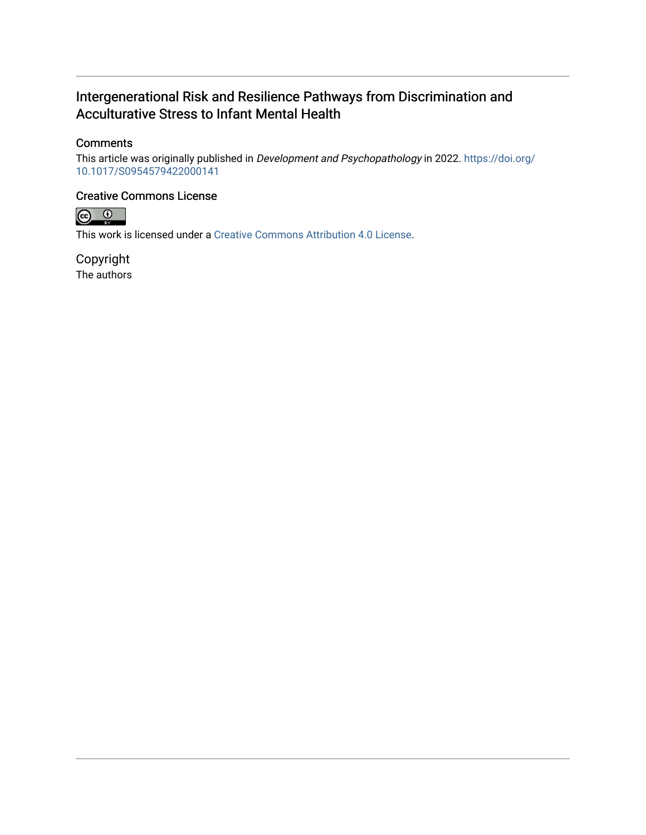## Intergenerational Risk and Resilience Pathways from Discrimination and Acculturative Stress to Infant Mental Health

## **Comments**

This article was originally published in Development and Psychopathology in 2022. [https://doi.org/](https://doi.org/10.1017/S0954579422000141) [10.1017/S0954579422000141](https://doi.org/10.1017/S0954579422000141)

### Creative Commons License



This work is licensed under a [Creative Commons Attribution 4.0 License](https://creativecommons.org/licenses/by/4.0/).

Copyright The authors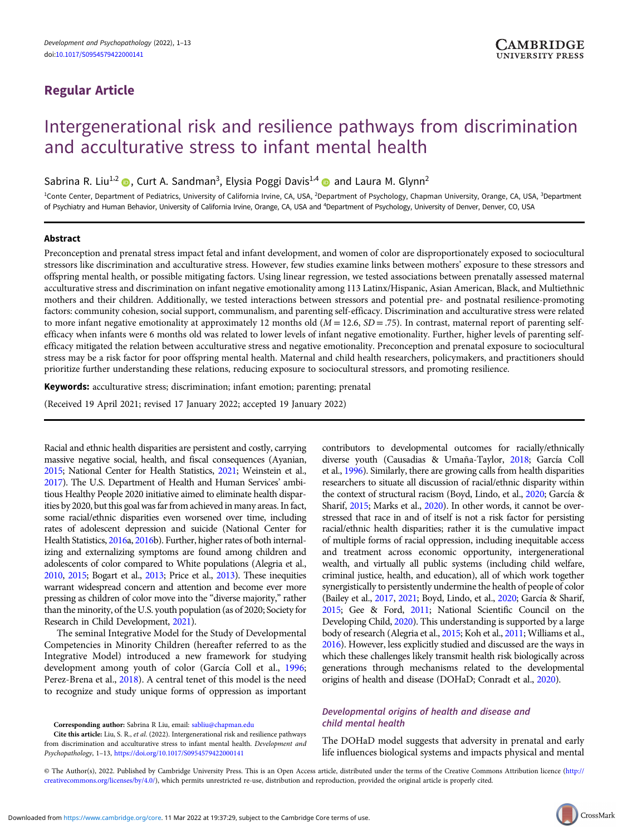## Regular Article

# Intergenerational risk and resilience pathways from discrimination and acculturative stress to infant mental health

Sabrina R. Liu<sup>1,2</sup> (D), Curt A. Sandman<sup>3</sup>, Elysia Poggi Davis<sup>1,4</sup> (D) and Laura M. Glynn<sup>2</sup>

<sup>1</sup>Conte Center, Department of Pediatrics, University of California Irvine, CA, USA, <sup>2</sup>Department of Psychology, Chapman University, Orange, CA, USA, <sup>3</sup>Department of Psychiatry and Human Behavior, University of California Irvine, Orange, CA, USA and <sup>4</sup>Department of Psychology, University of Denver, Denver, CO, USA

#### Abstract

Preconception and prenatal stress impact fetal and infant development, and women of color are disproportionately exposed to sociocultural stressors like discrimination and acculturative stress. However, few studies examine links between mothers' exposure to these stressors and offspring mental health, or possible mitigating factors. Using linear regression, we tested associations between prenatally assessed maternal acculturative stress and discrimination on infant negative emotionality among 113 Latinx/Hispanic, Asian American, Black, and Multiethnic mothers and their children. Additionally, we tested interactions between stressors and potential pre- and postnatal resilience-promoting factors: community cohesion, social support, communalism, and parenting self-efficacy. Discrimination and acculturative stress were related to more infant negative emotionality at approximately 12 months old  $(M = 12.6, SD = .75)$ . In contrast, maternal report of parenting selfefficacy when infants were 6 months old was related to lower levels of infant negative emotionality. Further, higher levels of parenting selfefficacy mitigated the relation between acculturative stress and negative emotionality. Preconception and prenatal exposure to sociocultural stress may be a risk factor for poor offspring mental health. Maternal and child health researchers, policymakers, and practitioners should prioritize further understanding these relations, reducing exposure to sociocultural stressors, and promoting resilience.

Keywords: acculturative stress; discrimination; infant emotion; parenting; prenatal

(Received 19 April 2021; revised 17 January 2022; accepted 19 January 2022)

Racial and ethnic health disparities are persistent and costly, carrying massive negative social, health, and fiscal consequences (Ayanian, [2015](#page-11-0); National Center for Health Statistics, [2021;](#page-13-0) Weinstein et al., [2017](#page-14-0)). The U.S. Department of Health and Human Services' ambitious Healthy People 2020 initiative aimed to eliminate health disparities by 2020, but this goal was far from achieved in many areas. In fact, some racial/ethnic disparities even worsened over time, including rates of adolescent depression and suicide (National Center for Health Statistics, [2016a](#page-13-0), [2016b](#page-13-0)). Further, higher rates of both internalizing and externalizing symptoms are found among children and adolescents of color compared to White populations (Alegria et al., [2010](#page-10-0), [2015](#page-10-0); Bogart et al., [2013](#page-11-0); Price et al., [2013\)](#page-13-0). These inequities warrant widespread concern and attention and become ever more pressing as children of color move into the "diverse majority," rather than the minority, of the U.S. youth population (as of 2020; Society for Research in Child Development, [2021\)](#page-14-0).

The seminal Integrative Model for the Study of Developmental Competencies in Minority Children (hereafter referred to as the Integrative Model) introduced a new framework for studying development among youth of color (García Coll et al., [1996;](#page-12-0) Perez-Brena et al., [2018](#page-13-0)). A central tenet of this model is the need to recognize and study unique forms of oppression as important

Corresponding author: Sabrina R Liu, email: [sabliu@chapman.edu](mailto:sabliu@chapman.edu)

contributors to developmental outcomes for racially/ethnically diverse youth (Causadias & Umaña-Taylor, [2018](#page-11-0); García Coll et al., [1996\)](#page-12-0). Similarly, there are growing calls from health disparities researchers to situate all discussion of racial/ethnic disparity within the context of structural racism (Boyd, Lindo, et al., [2020;](#page-11-0) García & Sharif, [2015;](#page-12-0) Marks et al., [2020\)](#page-13-0). In other words, it cannot be overstressed that race in and of itself is not a risk factor for persisting racial/ethnic health disparities; rather it is the cumulative impact of multiple forms of racial oppression, including inequitable access and treatment across economic opportunity, intergenerational wealth, and virtually all public systems (including child welfare, criminal justice, health, and education), all of which work together synergistically to persistently undermine the health of people of color (Bailey et al., [2017,](#page-11-0) [2021;](#page-11-0) Boyd, Lindo, et al., [2020;](#page-11-0) García & Sharif, [2015;](#page-12-0) Gee & Ford, [2011;](#page-12-0) National Scientific Council on the Developing Child, [2020](#page-13-0)). This understanding is supported by a large body of research (Alegria et al., [2015](#page-10-0); Koh et al., [2011](#page-12-0); Williams et al., [2016\)](#page-14-0). However, less explicitly studied and discussed are the ways in which these challenges likely transmit health risk biologically across generations through mechanisms related to the developmental origins of health and disease (DOHaD; Conradt et al., [2020\)](#page-11-0).

#### Developmental origins of health and disease and child mental health

The DOHaD model suggests that adversity in prenatal and early life influences biological systems and impacts physical and mental

© The Author(s), 2022. Published by Cambridge University Press. This is an Open Access article, distributed under the terms of the Creative Commons Attribution licence [\(http://](http://creativecommons.org/licenses/by/4.0/) [creativecommons.org/licenses/by/4.0/](http://creativecommons.org/licenses/by/4.0/)), which permits unrestricted re-use, distribution and reproduction, provided the original article is properly cited.

Cite this article: Liu, S. R., et al. (2022). Intergenerational risk and resilience pathways from discrimination and acculturative stress to infant mental health. Development and Psychopathology, 1–13, <https://doi.org/10.1017/S0954579422000141>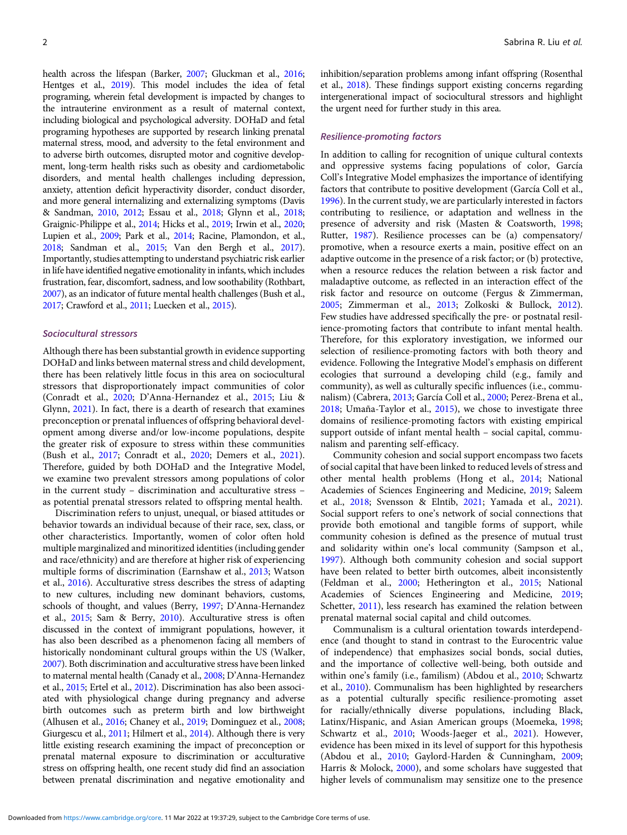health across the lifespan (Barker, [2007;](#page-11-0) Gluckman et al., [2016](#page-12-0); Hentges et al., [2019](#page-12-0)). This model includes the idea of fetal programing, wherein fetal development is impacted by changes to the intrauterine environment as a result of maternal context, including biological and psychological adversity. DOHaD and fetal programing hypotheses are supported by research linking prenatal maternal stress, mood, and adversity to the fetal environment and to adverse birth outcomes, disrupted motor and cognitive development, long-term health risks such as obesity and cardiometabolic disorders, and mental health challenges including depression, anxiety, attention deficit hyperactivity disorder, conduct disorder, and more general internalizing and externalizing symptoms (Davis & Sandman, [2010,](#page-11-0) [2012;](#page-11-0) Essau et al., [2018;](#page-12-0) Glynn et al., [2018](#page-12-0); Graignic-Philippe et al., [2014](#page-12-0); Hicks et al., [2019;](#page-12-0) Irwin et al., [2020](#page-12-0); Lupien et al., [2009;](#page-13-0) Park et al., [2014;](#page-13-0) Racine, Plamondon, et al., [2018](#page-13-0); Sandman et al., [2015](#page-13-0); Van den Bergh et al., [2017](#page-14-0)). Importantly, studies attempting to understand psychiatric risk earlier in life have identified negative emotionality in infants, which includes frustration, fear, discomfort, sadness, and low soothability (Rothbart, [2007](#page-13-0)), as an indicator of future mental health challenges (Bush et al., [2017](#page-11-0); Crawford et al., [2011;](#page-11-0) Luecken et al., [2015](#page-12-0)).

#### Sociocultural stressors

Although there has been substantial growth in evidence supporting DOHaD and links between maternal stress and child development, there has been relatively little focus in this area on sociocultural stressors that disproportionately impact communities of color (Conradt et al., [2020;](#page-11-0) D'Anna-Hernandez et al., [2015](#page-11-0); Liu & Glynn, [2021\)](#page-12-0). In fact, there is a dearth of research that examines preconception or prenatal influences of offspring behavioral development among diverse and/or low-income populations, despite the greater risk of exposure to stress within these communities (Bush et al., [2017;](#page-11-0) Conradt et al., [2020](#page-11-0); Demers et al., [2021](#page-11-0)). Therefore, guided by both DOHaD and the Integrative Model, we examine two prevalent stressors among populations of color in the current study – discrimination and acculturative stress – as potential prenatal stressors related to offspring mental health.

Discrimination refers to unjust, unequal, or biased attitudes or behavior towards an individual because of their race, sex, class, or other characteristics. Importantly, women of color often hold multiple marginalized and minoritized identities (including gender and race/ethnicity) and are therefore at higher risk of experiencing multiple forms of discrimination (Earnshaw et al., [2013;](#page-11-0) Watson et al., [2016\)](#page-14-0). Acculturative stress describes the stress of adapting to new cultures, including new dominant behaviors, customs, schools of thought, and values (Berry, [1997;](#page-11-0) D'Anna-Hernandez et al., [2015](#page-11-0); Sam & Berry, [2010\)](#page-13-0). Acculturative stress is often discussed in the context of immigrant populations, however, it has also been described as a phenomenon facing all members of historically nondominant cultural groups within the US (Walker, [2007](#page-14-0)). Both discrimination and acculturative stress have been linked to maternal mental health (Canady et al., [2008](#page-11-0); D'Anna-Hernandez et al., [2015;](#page-11-0) Ertel et al., [2012\)](#page-12-0). Discrimination has also been associated with physiological change during pregnancy and adverse birth outcomes such as preterm birth and low birthweight (Alhusen et al., [2016](#page-10-0); Chaney et al., [2019](#page-11-0); Dominguez et al., [2008](#page-11-0); Giurgescu et al., [2011;](#page-12-0) Hilmert et al., [2014\)](#page-12-0). Although there is very little existing research examining the impact of preconception or prenatal maternal exposure to discrimination or acculturative stress on offspring health, one recent study did find an association between prenatal discrimination and negative emotionality and

inhibition/separation problems among infant offspring (Rosenthal et al., [2018](#page-13-0)). These findings support existing concerns regarding intergenerational impact of sociocultural stressors and highlight the urgent need for further study in this area.

#### Resilience-promoting factors

In addition to calling for recognition of unique cultural contexts and oppressive systems facing populations of color, García Coll's Integrative Model emphasizes the importance of identifying factors that contribute to positive development (García Coll et al., [1996\)](#page-12-0). In the current study, we are particularly interested in factors contributing to resilience, or adaptation and wellness in the presence of adversity and risk (Masten & Coatsworth, [1998](#page-13-0); Rutter, [1987](#page-13-0)). Resilience processes can be (a) compensatory/ promotive, when a resource exerts a main, positive effect on an adaptive outcome in the presence of a risk factor; or (b) protective, when a resource reduces the relation between a risk factor and maladaptive outcome, as reflected in an interaction effect of the risk factor and resource on outcome (Fergus & Zimmerman, [2005;](#page-12-0) Zimmerman et al., [2013](#page-14-0); Zolkoski & Bullock, [2012](#page-14-0)). Few studies have addressed specifically the pre- or postnatal resilience-promoting factors that contribute to infant mental health. Therefore, for this exploratory investigation, we informed our selection of resilience-promoting factors with both theory and evidence. Following the Integrative Model's emphasis on different ecologies that surround a developing child (e.g., family and community), as well as culturally specific influences (i.e., communalism) (Cabrera, [2013](#page-11-0); García Coll et al., [2000;](#page-12-0) Perez-Brena et al.,  $2018$ ; Umaña-Taylor et al.,  $2015$ ), we chose to investigate three domains of resilience-promoting factors with existing empirical support outside of infant mental health – social capital, communalism and parenting self-efficacy.

Community cohesion and social support encompass two facets of social capital that have been linked to reduced levels of stress and other mental health problems (Hong et al., [2014](#page-12-0); National Academies of Sciences Engineering and Medicine, [2019](#page-13-0); Saleem et al., [2018;](#page-13-0) Svensson & Elntib, [2021](#page-14-0); Yamada et al., [2021](#page-14-0)). Social support refers to one's network of social connections that provide both emotional and tangible forms of support, while community cohesion is defined as the presence of mutual trust and solidarity within one's local community (Sampson et al., [1997\)](#page-13-0). Although both community cohesion and social support have been related to better birth outcomes, albeit inconsistently (Feldman et al., [2000;](#page-12-0) Hetherington et al., [2015;](#page-12-0) National Academies of Sciences Engineering and Medicine, [2019](#page-13-0); Schetter, [2011\)](#page-13-0), less research has examined the relation between prenatal maternal social capital and child outcomes.

Communalism is a cultural orientation towards interdependence (and thought to stand in contrast to the Eurocentric value of independence) that emphasizes social bonds, social duties, and the importance of collective well-being, both outside and within one's family (i.e., familism) (Abdou et al., [2010;](#page-10-0) Schwartz et al., [2010\)](#page-14-0). Communalism has been highlighted by researchers as a potential culturally specific resilience-promoting asset for racially/ethnically diverse populations, including Black, Latinx/Hispanic, and Asian American groups (Moemeka, [1998](#page-13-0); Schwartz et al., [2010;](#page-14-0) Woods-Jaeger et al., [2021](#page-14-0)). However, evidence has been mixed in its level of support for this hypothesis (Abdou et al., [2010](#page-10-0); Gaylord-Harden & Cunningham, [2009](#page-12-0); Harris & Molock, [2000\)](#page-12-0), and some scholars have suggested that higher levels of communalism may sensitize one to the presence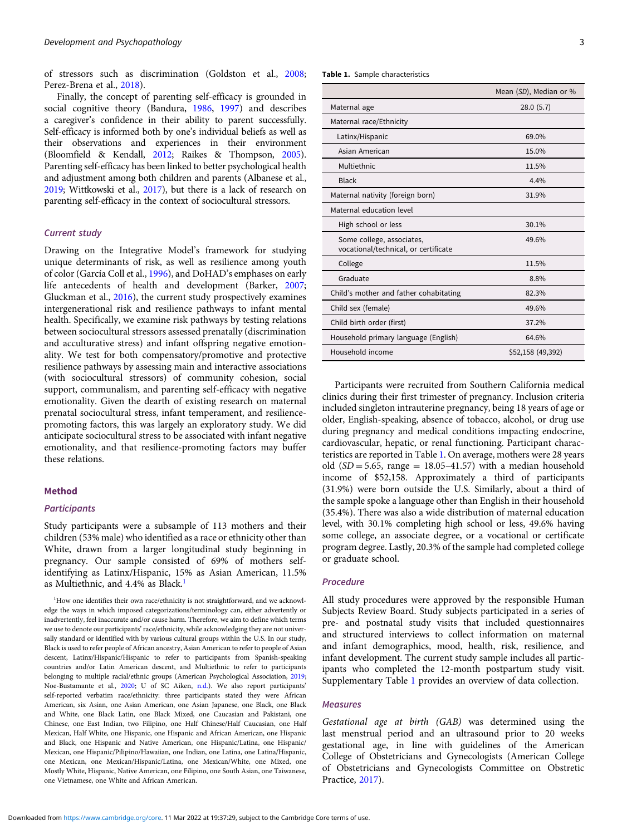of stressors such as discrimination (Goldston et al., [2008;](#page-12-0) Perez-Brena et al., [2018\)](#page-13-0).

Finally, the concept of parenting self-efficacy is grounded in social cognitive theory (Bandura, [1986](#page-11-0), [1997](#page-11-0)) and describes a caregiver's confidence in their ability to parent successfully. Self-efficacy is informed both by one's individual beliefs as well as their observations and experiences in their environment (Bloomfield & Kendall, [2012](#page-11-0); Raikes & Thompson, [2005\)](#page-13-0). Parenting self-efficacy has been linked to better psychological health and adjustment among both children and parents (Albanese et al., [2019;](#page-10-0) Wittkowski et al., [2017\)](#page-14-0), but there is a lack of research on parenting self-efficacy in the context of sociocultural stressors.

#### Current study

Drawing on the Integrative Model's framework for studying unique determinants of risk, as well as resilience among youth of color (García Coll et al., [1996](#page-12-0)), and DoHAD's emphases on early life antecedents of health and development (Barker, [2007;](#page-11-0) Gluckman et al., [2016\)](#page-12-0), the current study prospectively examines intergenerational risk and resilience pathways to infant mental health. Specifically, we examine risk pathways by testing relations between sociocultural stressors assessed prenatally (discrimination and acculturative stress) and infant offspring negative emotionality. We test for both compensatory/promotive and protective resilience pathways by assessing main and interactive associations (with sociocultural stressors) of community cohesion, social support, communalism, and parenting self-efficacy with negative emotionality. Given the dearth of existing research on maternal prenatal sociocultural stress, infant temperament, and resiliencepromoting factors, this was largely an exploratory study. We did anticipate sociocultural stress to be associated with infant negative emotionality, and that resilience-promoting factors may buffer these relations.

#### Method

#### **Participants**

Study participants were a subsample of 113 mothers and their children (53% male) who identified as a race or ethnicity other than White, drawn from a larger longitudinal study beginning in pregnancy. Our sample consisted of 69% of mothers selfidentifying as Latinx/Hispanic, 15% as Asian American, 11.5% as Multiethnic, and 4.4% as Black.<sup>1</sup>

Table 1. Sample characteristics

|                                                                   | Mean (SD), Median or % |
|-------------------------------------------------------------------|------------------------|
| Maternal age                                                      | 28.0(5.7)              |
| Maternal race/Ethnicity                                           |                        |
| Latinx/Hispanic                                                   | 69.0%                  |
| Asian American                                                    | 15.0%                  |
| Multiethnic                                                       | 11.5%                  |
| <b>Black</b>                                                      | 4.4%                   |
| Maternal nativity (foreign born)                                  | 31.9%                  |
| Maternal education level                                          |                        |
| High school or less                                               | 30.1%                  |
| Some college, associates,<br>vocational/technical, or certificate | 49.6%                  |
| College                                                           | 11.5%                  |
| Graduate                                                          | 8.8%                   |
| Child's mother and father cohabitating                            | 82.3%                  |
| Child sex (female)                                                | 49.6%                  |
| Child birth order (first)                                         | 37.2%                  |
| Household primary language (English)                              | 64.6%                  |
| Household income                                                  | \$52,158 (49,392)      |

Participants were recruited from Southern California medical clinics during their first trimester of pregnancy. Inclusion criteria included singleton intrauterine pregnancy, being 18 years of age or older, English-speaking, absence of tobacco, alcohol, or drug use during pregnancy and medical conditions impacting endocrine, cardiovascular, hepatic, or renal functioning. Participant characteristics are reported in Table 1. On average, mothers were 28 years old  $(SD = 5.65, \text{ range} = 18.05 - 41.57)$  with a median household income of \$52,158. Approximately a third of participants (31.9%) were born outside the U.S. Similarly, about a third of the sample spoke a language other than English in their household (35.4%). There was also a wide distribution of maternal education level, with 30.1% completing high school or less, 49.6% having some college, an associate degree, or a vocational or certificate program degree. Lastly, 20.3% of the sample had completed college or graduate school.

#### Procedure

All study procedures were approved by the responsible Human Subjects Review Board. Study subjects participated in a series of pre- and postnatal study visits that included questionnaires and structured interviews to collect information on maternal and infant demographics, mood, health, risk, resilience, and infant development. The current study sample includes all participants who completed the 12-month postpartum study visit. Supplementary Table [1](https://doi.org/10.1017/S0954579422000141) provides an overview of data collection.

#### Measures

Gestational age at birth (GAB) was determined using the last menstrual period and an ultrasound prior to 20 weeks gestational age, in line with guidelines of the American College of Obstetricians and Gynecologists (American College of Obstetricians and Gynecologists Committee on Obstretic Practice, [2017](#page-11-0)).

<sup>&</sup>lt;sup>1</sup>How one identifies their own race/ethnicity is not straightforward, and we acknowledge the ways in which imposed categorizations/terminology can, either advertently or inadvertently, feel inaccurate and/or cause harm. Therefore, we aim to define which terms we use to denote our participants' race/ethnicity, while acknowledging they are not universally standard or identified with by various cultural groups within the U.S. In our study, Black is used to refer people of African ancestry, Asian American to refer to people of Asian descent, Latinx/Hispanic/Hispanic to refer to participants from Spanish-speaking countries and/or Latin American descent, and Multiethnic to refer to participants belonging to multiple racial/ethnic groups (American Psychological Association, [2019](#page-11-0); Noe-Bustamante et al., [2020](#page-13-0); U of SC Aiken, [n.d.\)](#page-14-0). We also report participants' self-reported verbatim race/ethnicity: three participants stated they were African American, six Asian, one Asian American, one Asian Japanese, one Black, one Black and White, one Black Latin, one Black Mixed, one Caucasian and Pakistani, one Chinese, one East Indian, two Filipino, one Half Chinese/Half Caucasian, one Half Mexican, Half White, one Hispanic, one Hispanic and African American, one Hispanic and Black, one Hispanic and Native American, one Hispanic/Latina, one Hispanic/ Mexican, one Hispanic/Pilipino/Hawaiian, one Indian, one Latina, one Latina/Hispanic, one Mexican, one Mexican/Hispanic/Latina, one Mexican/White, one Mixed, one Mostly White, Hispanic, Native American, one Filipino, one South Asian, one Taiwanese, one Vietnamese, one White and African American.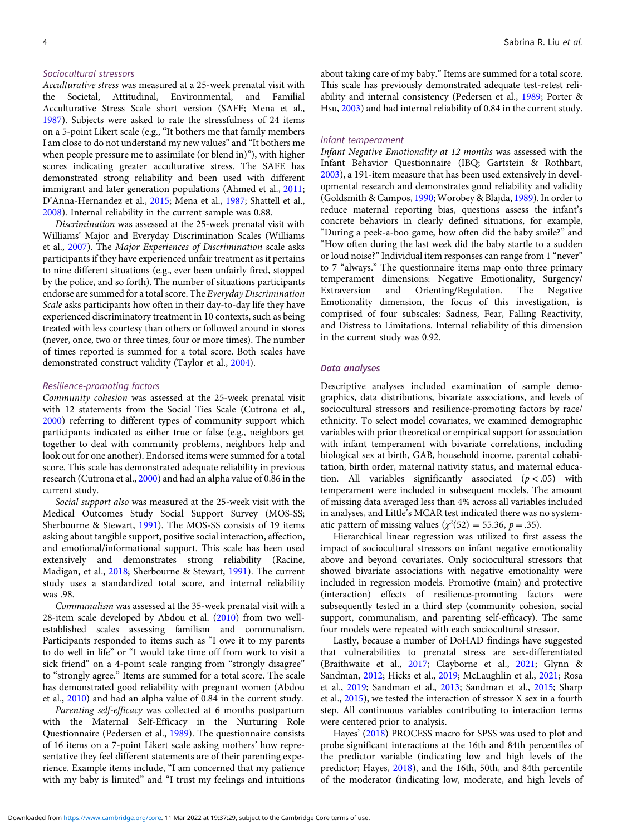#### Sociocultural stressors

Acculturative stress was measured at a 25-week prenatal visit with the Societal, Attitudinal, Environmental, and Familial Acculturative Stress Scale short version (SAFE; Mena et al., [1987\)](#page-13-0). Subjects were asked to rate the stressfulness of 24 items on a 5-point Likert scale (e.g., "It bothers me that family members I am close to do not understand my new values" and "It bothers me when people pressure me to assimilate (or blend in)"), with higher scores indicating greater acculturative stress. The SAFE has demonstrated strong reliability and been used with different immigrant and later generation populations (Ahmed et al., [2011](#page-10-0); D'Anna-Hernandez et al., [2015;](#page-11-0) Mena et al., [1987;](#page-13-0) Shattell et al., [2008\)](#page-14-0). Internal reliability in the current sample was 0.88.

Discrimination was assessed at the 25-week prenatal visit with Williams' Major and Everyday Discrimination Scales (Williams et al., [2007\)](#page-14-0). The Major Experiences of Discrimination scale asks participants if they have experienced unfair treatment as it pertains to nine different situations (e.g., ever been unfairly fired, stopped by the police, and so forth). The number of situations participants endorse are summed for a total score. The Everyday Discrimination Scale asks participants how often in their day-to-day life they have experienced discriminatory treatment in 10 contexts, such as being treated with less courtesy than others or followed around in stores (never, once, two or three times, four or more times). The number of times reported is summed for a total score. Both scales have demonstrated construct validity (Taylor et al., [2004](#page-14-0)).

#### Resilience-promoting factors

Community cohesion was assessed at the 25-week prenatal visit with 12 statements from the Social Ties Scale (Cutrona et al., [2000\)](#page-11-0) referring to different types of community support which participants indicated as either true or false (e.g., neighbors get together to deal with community problems, neighbors help and look out for one another). Endorsed items were summed for a total score. This scale has demonstrated adequate reliability in previous research (Cutrona et al., [2000\)](#page-11-0) and had an alpha value of 0.86 in the current study.

Social support also was measured at the 25-week visit with the Medical Outcomes Study Social Support Survey (MOS-SS; Sherbourne & Stewart, [1991\)](#page-14-0). The MOS-SS consists of 19 items asking about tangible support, positive social interaction, affection, and emotional/informational support. This scale has been used extensively and demonstrates strong reliability (Racine, Madigan, et al., [2018](#page-13-0); Sherbourne & Stewart, [1991](#page-14-0)). The current study uses a standardized total score, and internal reliability was .98.

Communalism was assessed at the 35-week prenatal visit with a 28-item scale developed by Abdou et al. ([2010\)](#page-10-0) from two wellestablished scales assessing familism and communalism. Participants responded to items such as "I owe it to my parents to do well in life" or "I would take time off from work to visit a sick friend" on a 4-point scale ranging from "strongly disagree" to "strongly agree." Items are summed for a total score. The scale has demonstrated good reliability with pregnant women (Abdou et al., [2010\)](#page-10-0) and had an alpha value of 0.84 in the current study.

Parenting self-efficacy was collected at 6 months postpartum with the Maternal Self-Efficacy in the Nurturing Role Questionnaire (Pedersen et al., [1989](#page-13-0)). The questionnaire consists of 16 items on a 7-point Likert scale asking mothers' how representative they feel different statements are of their parenting experience. Example items include, "I am concerned that my patience with my baby is limited" and "I trust my feelings and intuitions about taking care of my baby." Items are summed for a total score. This scale has previously demonstrated adequate test-retest reliability and internal consistency (Pedersen et al., [1989;](#page-13-0) Porter & Hsu, [2003\)](#page-13-0) and had internal reliability of 0.84 in the current study.

#### Infant temperament

Infant Negative Emotionality at 12 months was assessed with the Infant Behavior Questionnaire (IBQ; Gartstein & Rothbart, [2003\)](#page-12-0), a 191-item measure that has been used extensively in developmental research and demonstrates good reliability and validity (Goldsmith & Campos, [1990;](#page-12-0) Worobey & Blajda, [1989](#page-14-0)). In order to reduce maternal reporting bias, questions assess the infant's concrete behaviors in clearly defined situations, for example, "During a peek-a-boo game, how often did the baby smile?" and "How often during the last week did the baby startle to a sudden or loud noise?"Individual item responses can range from 1 "never" to 7 "always." The questionnaire items map onto three primary temperament dimensions: Negative Emotionality, Surgency/<br>Extraversion and Orienting/Regulation. The Negative and Orienting/Regulation. The Negative Emotionality dimension, the focus of this investigation, is comprised of four subscales: Sadness, Fear, Falling Reactivity, and Distress to Limitations. Internal reliability of this dimension in the current study was 0.92.

#### Data analyses

Descriptive analyses included examination of sample demographics, data distributions, bivariate associations, and levels of sociocultural stressors and resilience-promoting factors by race/ ethnicity. To select model covariates, we examined demographic variables with prior theoretical or empirical support for association with infant temperament with bivariate correlations, including biological sex at birth, GAB, household income, parental cohabitation, birth order, maternal nativity status, and maternal education. All variables significantly associated  $(p < .05)$  with temperament were included in subsequent models. The amount of missing data averaged less than 4% across all variables included in analyses, and Little's MCAR test indicated there was no systematic pattern of missing values ( $\chi^2$ (52) = 55.36, p = .35).

Hierarchical linear regression was utilized to first assess the impact of sociocultural stressors on infant negative emotionality above and beyond covariates. Only sociocultural stressors that showed bivariate associations with negative emotionality were included in regression models. Promotive (main) and protective (interaction) effects of resilience-promoting factors were subsequently tested in a third step (community cohesion, social support, communalism, and parenting self-efficacy). The same four models were repeated with each sociocultural stressor.

Lastly, because a number of DoHAD findings have suggested that vulnerabilities to prenatal stress are sex-differentiated (Braithwaite et al., [2017;](#page-11-0) Clayborne et al., [2021](#page-11-0); Glynn & Sandman, [2012;](#page-12-0) Hicks et al., [2019;](#page-12-0) McLaughlin et al., [2021](#page-13-0); Rosa et al., [2019;](#page-13-0) Sandman et al., [2013;](#page-13-0) Sandman et al., [2015](#page-13-0); Sharp et al., [2015](#page-14-0)), we tested the interaction of stressor X sex in a fourth step. All continuous variables contributing to interaction terms were centered prior to analysis.

Hayes' ([2018\)](#page-12-0) PROCESS macro for SPSS was used to plot and probe significant interactions at the 16th and 84th percentiles of the predictor variable (indicating low and high levels of the predictor; Hayes, [2018\)](#page-12-0), and the 16th, 50th, and 84th percentile of the moderator (indicating low, moderate, and high levels of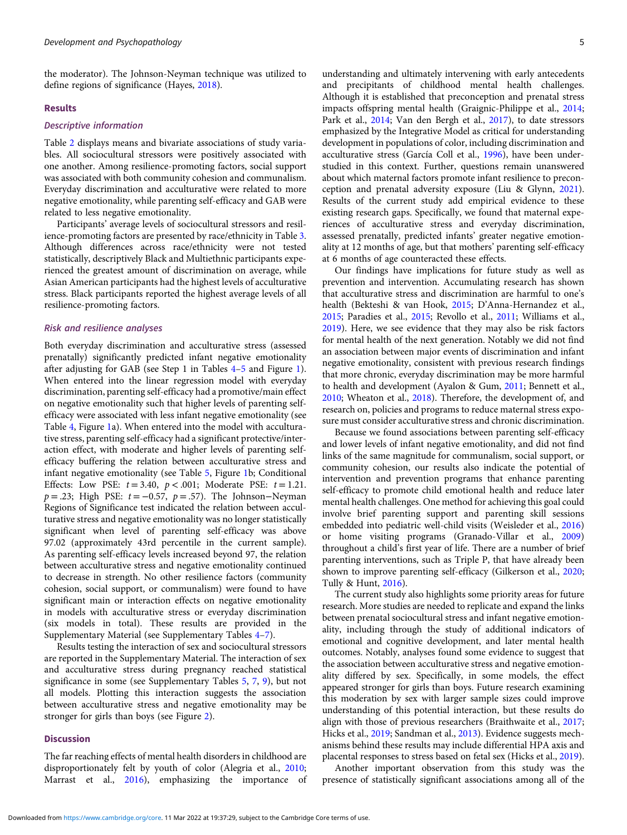the moderator). The Johnson-Neyman technique was utilized to define regions of significance (Hayes, [2018\)](#page-12-0).

#### Results

#### Descriptive information

Table [2](#page-7-0) displays means and bivariate associations of study variables. All sociocultural stressors were positively associated with one another. Among resilience-promoting factors, social support was associated with both community cohesion and communalism. Everyday discrimination and acculturative were related to more negative emotionality, while parenting self-efficacy and GAB were related to less negative emotionality.

Participants' average levels of sociocultural stressors and resilience-promoting factors are presented by race/ethnicity in Table [3.](#page-8-0) Although differences across race/ethnicity were not tested statistically, descriptively Black and Multiethnic participants experienced the greatest amount of discrimination on average, while Asian American participants had the highest levels of acculturative stress. Black participants reported the highest average levels of all resilience-promoting factors.

#### Risk and resilience analyses

Both everyday discrimination and acculturative stress (assessed prenatally) significantly predicted infant negative emotionality after adjusting for GAB (see Step 1 in Tables [4](#page-8-0)–[5](#page-8-0) and Figure [1\)](#page-9-0). When entered into the linear regression model with everyday discrimination, parenting self-efficacy had a promotive/main effect on negative emotionality such that higher levels of parenting selfefficacy were associated with less infant negative emotionality (see Table [4](#page-8-0), Figure [1](#page-9-0)a). When entered into the model with acculturative stress, parenting self-efficacy had a significant protective/interaction effect, with moderate and higher levels of parenting selfefficacy buffering the relation between acculturative stress and infant negative emotionality (see Table [5](#page-8-0), Figure [1b](#page-9-0); Conditional Effects: Low PSE:  $t = 3.40$ ,  $p < .001$ ; Moderate PSE:  $t = 1.21$ .  $p = .23$ ; High PSE:  $t = -0.57$ ,  $p = .57$ ). The Johnson–Neyman Regions of Significance test indicated the relation between acculturative stress and negative emotionality was no longer statistically significant when level of parenting self-efficacy was above 97.02 (approximately 43rd percentile in the current sample). As parenting self-efficacy levels increased beyond 97, the relation between acculturative stress and negative emotionality continued to decrease in strength. No other resilience factors (community cohesion, social support, or communalism) were found to have significant main or interaction effects on negative emotionality in models with acculturative stress or everyday discrimination (six models in total). These results are provided in the Supplementary Material (see Supplementary Tables [4](https://doi.org/10.1017/S0954579422000141)–[7](https://doi.org/10.1017/S0954579422000141)).

Results testing the interaction of sex and sociocultural stressors are reported in the Supplementary Material. The interaction of sex and acculturative stress during pregnancy reached statistical significance in some (see Supplementary Tables [5](https://doi.org/10.1017/S0954579422000141), [7](https://doi.org/10.1017/S0954579422000141), [9\)](https://doi.org/10.1017/S0954579422000141), but not all models. Plotting this interaction suggests the association between acculturative stress and negative emotionality may be stronger for girls than boys (see Figure [2\)](#page-9-0).

#### **Discussion**

The far reaching effects of mental health disorders in childhood are disproportionately felt by youth of color (Alegria et al., [2010;](#page-10-0) Marrast et al., [2016\)](#page-13-0), emphasizing the importance of understanding and ultimately intervening with early antecedents and precipitants of childhood mental health challenges. Although it is established that preconception and prenatal stress impacts offspring mental health (Graignic-Philippe et al., [2014;](#page-12-0) Park et al., [2014](#page-13-0); Van den Bergh et al., [2017\)](#page-14-0), to date stressors emphasized by the Integrative Model as critical for understanding development in populations of color, including discrimination and acculturative stress (García Coll et al., [1996](#page-12-0)), have been understudied in this context. Further, questions remain unanswered about which maternal factors promote infant resilience to preconception and prenatal adversity exposure (Liu & Glynn, [2021\)](#page-12-0). Results of the current study add empirical evidence to these existing research gaps. Specifically, we found that maternal experiences of acculturative stress and everyday discrimination, assessed prenatally, predicted infants' greater negative emotionality at 12 months of age, but that mothers' parenting self-efficacy at 6 months of age counteracted these effects.

Our findings have implications for future study as well as prevention and intervention. Accumulating research has shown that acculturative stress and discrimination are harmful to one's health (Bekteshi & van Hook, [2015;](#page-11-0) D'Anna-Hernandez et al., [2015](#page-11-0); Paradies et al., [2015;](#page-13-0) Revollo et al., [2011;](#page-13-0) Williams et al., [2019](#page-14-0)). Here, we see evidence that they may also be risk factors for mental health of the next generation. Notably we did not find an association between major events of discrimination and infant negative emotionality, consistent with previous research findings that more chronic, everyday discrimination may be more harmful to health and development (Ayalon & Gum, [2011](#page-11-0); Bennett et al., [2010](#page-11-0); Wheaton et al., [2018\)](#page-14-0). Therefore, the development of, and research on, policies and programs to reduce maternal stress exposure must consider acculturative stress and chronic discrimination.

Because we found associations between parenting self-efficacy and lower levels of infant negative emotionality, and did not find links of the same magnitude for communalism, social support, or community cohesion, our results also indicate the potential of intervention and prevention programs that enhance parenting self-efficacy to promote child emotional health and reduce later mental health challenges. One method for achieving this goal could involve brief parenting support and parenting skill sessions embedded into pediatric well-child visits (Weisleder et al., [2016\)](#page-14-0) or home visiting programs (Granado-Villar et al., [2009\)](#page-12-0) throughout a child's first year of life. There are a number of brief parenting interventions, such as Triple P, that have already been shown to improve parenting self-efficacy (Gilkerson et al., [2020;](#page-12-0) Tully & Hunt, [2016\)](#page-14-0).

The current study also highlights some priority areas for future research. More studies are needed to replicate and expand the links between prenatal sociocultural stress and infant negative emotionality, including through the study of additional indicators of emotional and cognitive development, and later mental health outcomes. Notably, analyses found some evidence to suggest that the association between acculturative stress and negative emotionality differed by sex. Specifically, in some models, the effect appeared stronger for girls than boys. Future research examining this moderation by sex with larger sample sizes could improve understanding of this potential interaction, but these results do align with those of previous researchers (Braithwaite et al., [2017;](#page-11-0) Hicks et al., [2019;](#page-12-0) Sandman et al., [2013](#page-13-0)). Evidence suggests mechanisms behind these results may include differential HPA axis and placental responses to stress based on fetal sex (Hicks et al., [2019\)](#page-12-0).

Another important observation from this study was the presence of statistically significant associations among all of the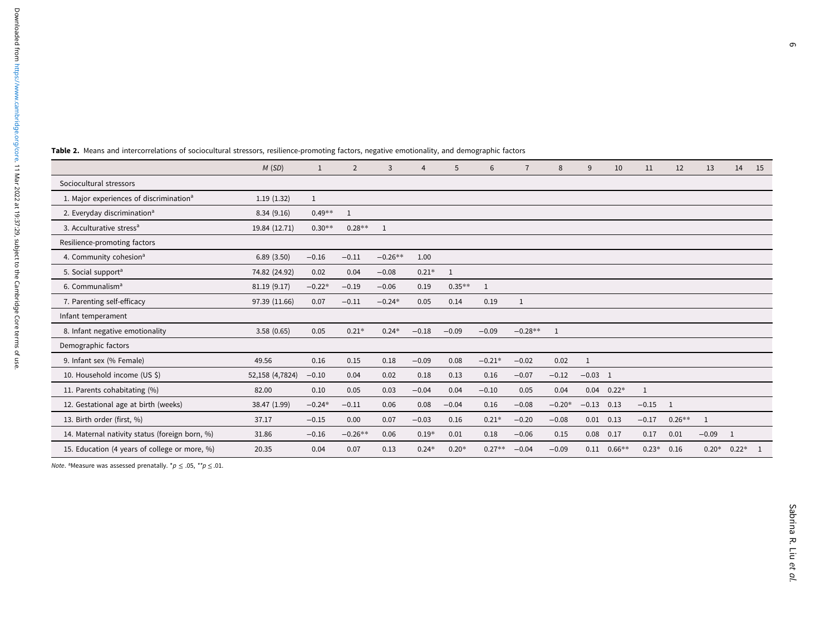$\overline{\phantom{0}}$ 

|                                                     | M(SD)           | $\mathbf{1}$ | 2            | 3            | $\overline{4}$ | 5              | 6        | $\overline{7}$ | 8            | 9         | 10             | 11      | 12           | 13           | 14             | 15 |
|-----------------------------------------------------|-----------------|--------------|--------------|--------------|----------------|----------------|----------|----------------|--------------|-----------|----------------|---------|--------------|--------------|----------------|----|
| Sociocultural stressors                             |                 |              |              |              |                |                |          |                |              |           |                |         |              |              |                |    |
| 1. Major experiences of discrimination <sup>a</sup> | 1.19(1.32)      | $\mathbf{1}$ |              |              |                |                |          |                |              |           |                |         |              |              |                |    |
| 2. Everyday discrimination <sup>a</sup>             | 8.34(9.16)      | $0.49**$     | $\mathbf{1}$ |              |                |                |          |                |              |           |                |         |              |              |                |    |
| 3. Acculturative stress <sup>a</sup>                | 19.84 (12.71)   | $0.30**$     | $0.28**$     | $\mathbf{1}$ |                |                |          |                |              |           |                |         |              |              |                |    |
| Resilience-promoting factors                        |                 |              |              |              |                |                |          |                |              |           |                |         |              |              |                |    |
| 4. Community cohesion <sup>a</sup>                  | 6.89(3.50)      | $-0.16$      | $-0.11$      | $-0.26**$    | 1.00           |                |          |                |              |           |                |         |              |              |                |    |
| 5. Social support <sup>a</sup>                      | 74.82 (24.92)   | 0.02         | 0.04         | $-0.08$      | $0.21*$        | $\overline{1}$ |          |                |              |           |                |         |              |              |                |    |
| 6. Communalism <sup>a</sup>                         | 81.19 (9.17)    | $-0.22*$     | $-0.19$      | $-0.06$      | 0.19           | $0.35**$       | 1        |                |              |           |                |         |              |              |                |    |
| 7. Parenting self-efficacy                          | 97.39 (11.66)   | 0.07         | $-0.11$      | $-0.24*$     | 0.05           | 0.14           | 0.19     | $\mathbf{1}$   |              |           |                |         |              |              |                |    |
| Infant temperament                                  |                 |              |              |              |                |                |          |                |              |           |                |         |              |              |                |    |
| 8. Infant negative emotionality                     | 3.58(0.65)      | 0.05         | $0.21*$      | $0.24*$      | $-0.18$        | $-0.09$        | $-0.09$  | $-0.28**$      | $\mathbf{1}$ |           |                |         |              |              |                |    |
| Demographic factors                                 |                 |              |              |              |                |                |          |                |              |           |                |         |              |              |                |    |
| 9. Infant sex (% Female)                            | 49.56           | 0.16         | 0.15         | 0.18         | $-0.09$        | 0.08           | $-0.21*$ | $-0.02$        | 0.02         | 1         |                |         |              |              |                |    |
| 10. Household income (US \$)                        | 52,158 (4,7824) | $-0.10$      | 0.04         | 0.02         | 0.18           | 0.13           | 0.16     | $-0.07$        | $-0.12$      | $-0.03$ 1 |                |         |              |              |                |    |
| 11. Parents cohabitating (%)                        | 82.00           | 0.10         | 0.05         | 0.03         | $-0.04$        | 0.04           | $-0.10$  | 0.05           | 0.04         |           | $0.04$ $0.22*$ | 1       |              |              |                |    |
| 12. Gestational age at birth (weeks)                | 38.47 (1.99)    | $-0.24*$     | $-0.11$      | 0.06         | 0.08           | $-0.04$        | 0.16     | $-0.08$        | $-0.20*$     | $-0.13$   | 0.13           | $-0.15$ | $\mathbf{1}$ |              |                |    |
| 13. Birth order (first, %)                          | 37.17           | $-0.15$      | 0.00         | 0.07         | $-0.03$        | 0.16           | $0.21*$  | $-0.20$        | $-0.08$      | 0.01      | 0.13           | $-0.17$ | $0.26**$     | $\mathbf{1}$ |                |    |
| 14. Maternal nativity status (foreign born, %)      | 31.86           | $-0.16$      | $-0.26**$    | 0.06         | $0.19*$        | 0.01           | 0.18     | $-0.06$        | 0.15         | 0.08      | 0.17           | 0.17    | 0.01         | $-0.09$      | $\overline{1}$ |    |
| 15. Education (4 years of college or more, %)       | 20.35           | 0.04         | 0.07         | 0.13         | $0.24*$        | $0.20*$        | $0.27**$ | $-0.04$        | $-0.09$      | 0.11      | $0.66**$       | $0.23*$ | 0.16         | $0.20*$      | $0.22*$        |    |
|                                                     |                 |              |              |              |                |                |          |                |              |           |                |         |              |              |                |    |

<span id="page-7-0"></span>Table 2. Means and intercorrelations of sociocultural stressors, resilience-promoting factors, negative emotionality, and demographic factors

*Note.* <sup>a</sup>Measure was assessed prenatally.  $^{\star}p \leq .05$ ,  $^{**}p \leq .01$ .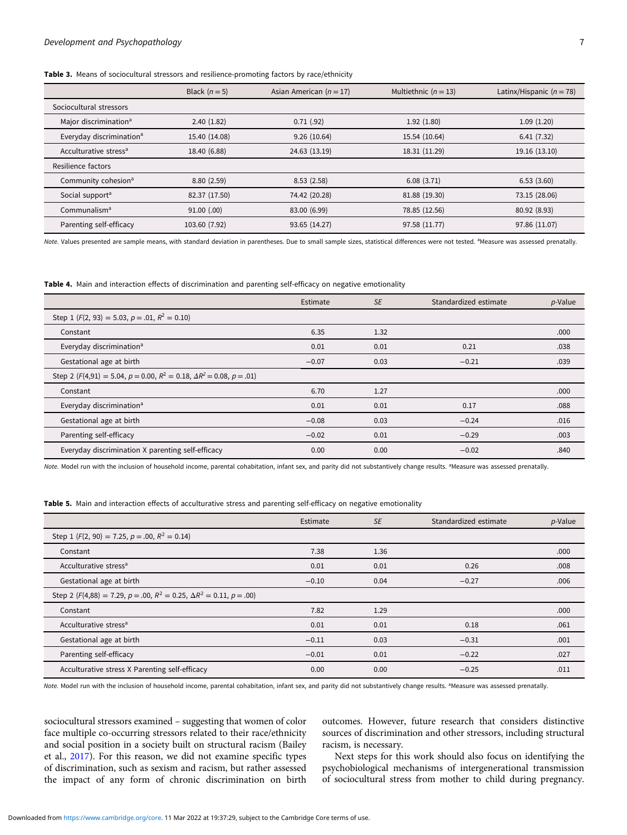|                                      | Black $(n=5)$   | Asian American ( $n = 17$ ) | Multiethnic $(n = 13)$ | Latinx/Hispanic ( $n = 78$ ) |
|--------------------------------------|-----------------|-----------------------------|------------------------|------------------------------|
| Sociocultural stressors              |                 |                             |                        |                              |
| Major discrimination <sup>a</sup>    | 2.40(1.82)      | 0.71(.92)                   | 1.92(1.80)             | 1.09(1.20)                   |
| Everyday discrimination <sup>a</sup> | 15.40 (14.08)   | 9.26(10.64)                 | 15.54 (10.64)          | 6.41(7.32)                   |
| Acculturative stress <sup>a</sup>    | 18.40 (6.88)    | 24.63 (13.19)               | 18.31 (11.29)          | 19.16 (13.10)                |
| Resilience factors                   |                 |                             |                        |                              |
| Community cohesion <sup>a</sup>      | 8.80(2.59)      | 8.53(2.58)                  | 6.08(3.71)             | 6.53(3.60)                   |
| Social support <sup>a</sup>          | 82.37 (17.50)   | 74.42 (20.28)               | 81.88 (19.30)          | 73.15 (28.06)                |
| Communalism <sup>a</sup>             | $91.00$ $(.00)$ | 83.00 (6.99)                | 78.85 (12.56)          | 80.92 (8.93)                 |
| Parenting self-efficacy              | 103.60 (7.92)   | 93.65 (14.27)               | 97.58 (11.77)          | 97.86 (11.07)                |

<span id="page-8-0"></span>Table 3. Means of sociocultural stressors and resilience-promoting factors by race/ethnicity

Note. Values presented are sample means, with standard deviation in parentheses. Due to small sample sizes, statistical differences were not tested. <sup>a</sup>Measure was assessed prenatally.

Table 4. Main and interaction effects of discrimination and parenting self-efficacy on negative emotionality

|                                                                                           | Estimate | <b>SE</b> | Standardized estimate | p-Value |
|-------------------------------------------------------------------------------------------|----------|-----------|-----------------------|---------|
| Step 1 $(F(2, 93) = 5.03, p = .01, R^2 = 0.10)$                                           |          |           |                       |         |
| Constant                                                                                  | 6.35     | 1.32      |                       | .000    |
| Everyday discrimination <sup>a</sup>                                                      | 0.01     | 0.01      | 0.21                  | .038    |
| Gestational age at birth                                                                  | $-0.07$  | 0.03      | $-0.21$               | .039    |
| Step 2 ( $F(4,91) = 5.04$ , $p = 0.00$ , $R^2 = 0.18$ , $\Delta R^2 = 0.08$ , $p = .01$ ) |          |           |                       |         |
| Constant                                                                                  | 6.70     | 1.27      |                       | .000    |
| Everyday discrimination <sup>a</sup>                                                      | 0.01     | 0.01      | 0.17                  | .088    |
| Gestational age at birth                                                                  | $-0.08$  | 0.03      | $-0.24$               | .016    |
| Parenting self-efficacy                                                                   | $-0.02$  | 0.01      | $-0.29$               | .003    |
| Everyday discrimination X parenting self-efficacy                                         | 0.00     | 0.00      | $-0.02$               | .840    |

Note. Model run with the inclusion of household income, parental cohabitation, infant sex, and parity did not substantively change results. <sup>a</sup>Measure was assessed prenatally.

Table 5. Main and interaction effects of acculturative stress and parenting self-efficacy on negative emotionality

|                                                                            | Estimate | <b>SE</b> | Standardized estimate | $p$ -Value |
|----------------------------------------------------------------------------|----------|-----------|-----------------------|------------|
| Step 1 ( $F(2, 90) = 7.25$ , $p = .00$ , $R^2 = 0.14$ )                    |          |           |                       |            |
| Constant                                                                   | 7.38     | 1.36      |                       | .000       |
| Acculturative stress <sup>a</sup>                                          | 0.01     | 0.01      | 0.26                  | .008       |
| Gestational age at birth                                                   | $-0.10$  | 0.04      | $-0.27$               | .006       |
| Step 2 $(F(4,88) = 7.29, p = .00, R^2 = 0.25, \Delta R^2 = 0.11, p = .00)$ |          |           |                       |            |
| Constant                                                                   | 7.82     | 1.29      |                       | .000       |
| Acculturative stress <sup>a</sup>                                          | 0.01     | 0.01      | 0.18                  | .061       |
| Gestational age at birth                                                   | $-0.11$  | 0.03      | $-0.31$               | .001       |
| Parenting self-efficacy                                                    | $-0.01$  | 0.01      | $-0.22$               | .027       |
| Acculturative stress X Parenting self-efficacy                             | 0.00     | 0.00      | $-0.25$               | .011       |

Note. Model run with the inclusion of household income, parental cohabitation, infant sex, and parity did not substantively change results. <sup>a</sup>Measure was assessed prenatally.

sociocultural stressors examined – suggesting that women of color face multiple co-occurring stressors related to their race/ethnicity and social position in a society built on structural racism (Bailey et al., [2017\)](#page-11-0). For this reason, we did not examine specific types of discrimination, such as sexism and racism, but rather assessed the impact of any form of chronic discrimination on birth

outcomes. However, future research that considers distinctive sources of discrimination and other stressors, including structural racism, is necessary.

Next steps for this work should also focus on identifying the psychobiological mechanisms of intergenerational transmission of sociocultural stress from mother to child during pregnancy.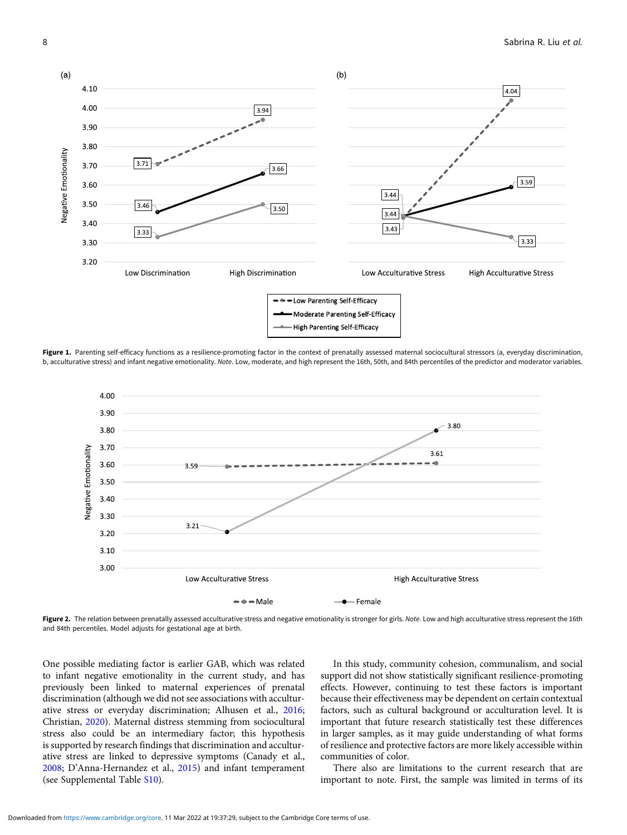<span id="page-9-0"></span>

Figure 1. Parenting self-efficacy functions as a resilience-promoting factor in the context of prenatally assessed maternal sociocultural stressors (a, everyday discrimination, b, acculturative stress) and infant negative emotionality. Note. Low, moderate, and high represent the 16th, 50th, and 84th percentiles of the predictor and moderator variables.



Figure 2. The relation between prenatally assessed acculturative stress and negative emotionality is stronger for girls. Note. Low and high acculturative stress represent the 16th and 84th percentiles. Model adjusts for gestational age at birth.

One possible mediating factor is earlier GAB, which was related to infant negative emotionality in the current study, and has previously been linked to maternal experiences of prenatal discrimination (although we did not see associations with acculturative stress or everyday discrimination; Alhusen et al., [2016](#page-10-0); Christian, [2020\)](#page-11-0). Maternal distress stemming from sociocultural stress also could be an intermediary factor; this hypothesis is supported by research findings that discrimination and acculturative stress are linked to depressive symptoms (Canady et al., [2008;](#page-11-0) D'Anna-Hernandez et al., [2015](#page-11-0)) and infant temperament (see Supplemental Table [S10](https://doi.org/10.1017/S0954579422000141)).

In this study, community cohesion, communalism, and social support did not show statistically significant resilience-promoting effects. However, continuing to test these factors is important because their effectiveness may be dependent on certain contextual factors, such as cultural background or acculturation level. It is important that future research statistically test these differences in larger samples, as it may guide understanding of what forms of resilience and protective factors are more likely accessible within communities of color.

There also are limitations to the current research that are important to note. First, the sample was limited in terms of its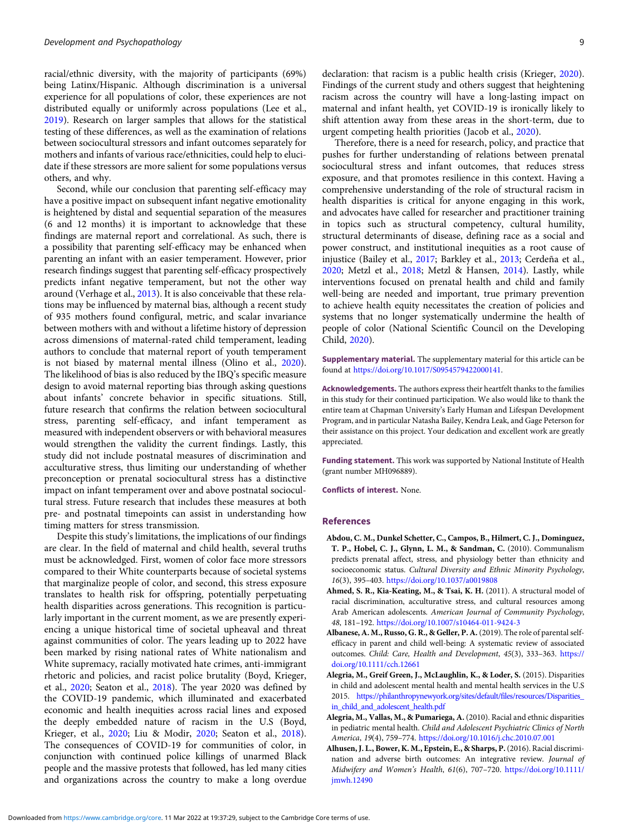<span id="page-10-0"></span>racial/ethnic diversity, with the majority of participants (69%) being Latinx/Hispanic. Although discrimination is a universal experience for all populations of color, these experiences are not distributed equally or uniformly across populations (Lee et al., [2019](#page-12-0)). Research on larger samples that allows for the statistical testing of these differences, as well as the examination of relations between sociocultural stressors and infant outcomes separately for mothers and infants of various race/ethnicities, could help to elucidate if these stressors are more salient for some populations versus others, and why.

Second, while our conclusion that parenting self-efficacy may have a positive impact on subsequent infant negative emotionality is heightened by distal and sequential separation of the measures (6 and 12 months) it is important to acknowledge that these findings are maternal report and correlational. As such, there is a possibility that parenting self-efficacy may be enhanced when parenting an infant with an easier temperament. However, prior research findings suggest that parenting self-efficacy prospectively predicts infant negative temperament, but not the other way around (Verhage et al., [2013\)](#page-14-0). It is also conceivable that these relations may be influenced by maternal bias, although a recent study of 935 mothers found configural, metric, and scalar invariance between mothers with and without a lifetime history of depression across dimensions of maternal-rated child temperament, leading authors to conclude that maternal report of youth temperament is not biased by maternal mental illness (Olino et al., [2020\)](#page-13-0). The likelihood of bias is also reduced by the IBQ's specific measure design to avoid maternal reporting bias through asking questions about infants' concrete behavior in specific situations. Still, future research that confirms the relation between sociocultural stress, parenting self-efficacy, and infant temperament as measured with independent observers or with behavioral measures would strengthen the validity the current findings. Lastly, this study did not include postnatal measures of discrimination and acculturative stress, thus limiting our understanding of whether preconception or prenatal sociocultural stress has a distinctive impact on infant temperament over and above postnatal sociocultural stress. Future research that includes these measures at both pre- and postnatal timepoints can assist in understanding how timing matters for stress transmission.

Despite this study's limitations, the implications of our findings are clear. In the field of maternal and child health, several truths must be acknowledged. First, women of color face more stressors compared to their White counterparts because of societal systems that marginalize people of color, and second, this stress exposure translates to health risk for offspring, potentially perpetuating health disparities across generations. This recognition is particularly important in the current moment, as we are presently experiencing a unique historical time of societal upheaval and threat against communities of color. The years leading up to 2022 have been marked by rising national rates of White nationalism and White supremacy, racially motivated hate crimes, anti-immigrant rhetoric and policies, and racist police brutality (Boyd, Krieger, et al., [2020](#page-11-0); Seaton et al., [2018](#page-14-0)). The year 2020 was defined by the COVID-19 pandemic, which illuminated and exacerbated economic and health inequities across racial lines and exposed the deeply embedded nature of racism in the U.S (Boyd, Krieger, et al., [2020](#page-11-0); Liu & Modir, [2020;](#page-12-0) Seaton et al., [2018\)](#page-14-0). The consequences of COVID-19 for communities of color, in conjunction with continued police killings of unarmed Black people and the massive protests that followed, has led many cities and organizations across the country to make a long overdue

declaration: that racism is a public health crisis (Krieger, [2020\)](#page-12-0). Findings of the current study and others suggest that heightening racism across the country will have a long-lasting impact on maternal and infant health, yet COVID-19 is ironically likely to shift attention away from these areas in the short-term, due to urgent competing health priorities (Jacob et al., [2020\)](#page-12-0).

Therefore, there is a need for research, policy, and practice that pushes for further understanding of relations between prenatal sociocultural stress and infant outcomes, that reduces stress exposure, and that promotes resilience in this context. Having a comprehensive understanding of the role of structural racism in health disparities is critical for anyone engaging in this work, and advocates have called for researcher and practitioner training in topics such as structural competency, cultural humility, structural determinants of disease, defining race as a social and power construct, and institutional inequities as a root cause of injustice (Bailey et al., [2017](#page-11-0); Barkley et al., [2013](#page-11-0); Cerdeña et al., [2020](#page-11-0); Metzl et al., [2018](#page-13-0); Metzl & Hansen, [2014\)](#page-13-0). Lastly, while interventions focused on prenatal health and child and family well-being are needed and important, true primary prevention to achieve health equity necessitates the creation of policies and systems that no longer systematically undermine the health of people of color (National Scientific Council on the Developing Child, [2020](#page-13-0)).

Supplementary material. The supplementary material for this article can be found at [https://doi.org/10.1017/S0954579422000141.](https://doi.org/10.1017/S0954579422000141)

Acknowledgements. The authors express their heartfelt thanks to the families in this study for their continued participation. We also would like to thank the entire team at Chapman University's Early Human and Lifespan Development Program, and in particular Natasha Bailey, Kendra Leak, and Gage Peterson for their assistance on this project. Your dedication and excellent work are greatly appreciated.

Funding statement. This work was supported by National Institute of Health (grant number MH096889).

Conflicts of interest. None.

#### References

- Abdou, C. M., Dunkel Schetter, C., Campos, B., Hilmert, C. J., Dominguez, T. P., Hobel, C. J., Glynn, L. M., & Sandman, C. (2010). Communalism predicts prenatal affect, stress, and physiology better than ethnicity and socioeconomic status. Cultural Diversity and Ethnic Minority Psychology, 16(3), 395–403. <https://doi.org/10.1037/a0019808>
- Ahmed, S. R., Kia-Keating, M., & Tsai, K. H. (2011). A structural model of racial discrimination, acculturative stress, and cultural resources among Arab American adolescents. American Journal of Community Psychology, 48, 181–192. <https://doi.org/10.1007/s10464-011-9424-3>
- Albanese, A. M., Russo, G. R., & Geller, P. A. (2019). The role of parental selfefficacy in parent and child well-being: A systematic review of associated outcomes. Child: Care, Health and Development, 45(3), 333–363. [https://](https://doi.org/10.1111/cch.12661) [doi.org/10.1111/cch.12661](https://doi.org/10.1111/cch.12661)
- Alegria, M., Greif Green, J., McLaughlin, K., & Loder, S. (2015). Disparities in child and adolescent mental health and mental health services in the U.S 2015. [https://philanthropynewyork.org/sites/default/files/resources/Disparities\\_](https://philanthropynewyork.org/sites/default/files/resources/Disparities_in_child_and_adolescent_health.pdf) [in\\_child\\_and\\_adolescent\\_health.pdf](https://philanthropynewyork.org/sites/default/files/resources/Disparities_in_child_and_adolescent_health.pdf)
- Alegria, M., Vallas, M., & Pumariega, A. (2010). Racial and ethnic disparities in pediatric mental health. Child and Adolescent Psychiatric Clinics of North America, 19(4), 759–774. <https://doi.org/10.1016/j.chc.2010.07.001>
- Alhusen, J. L., Bower, K. M., Epstein, E., & Sharps, P.(2016). Racial discrimination and adverse birth outcomes: An integrative review. Journal of Midwifery and Women's Health, 61(6), 707–720. [https://doi.org/10.1111/](https://doi.org/10.1111/jmwh.12490) [jmwh.12490](https://doi.org/10.1111/jmwh.12490)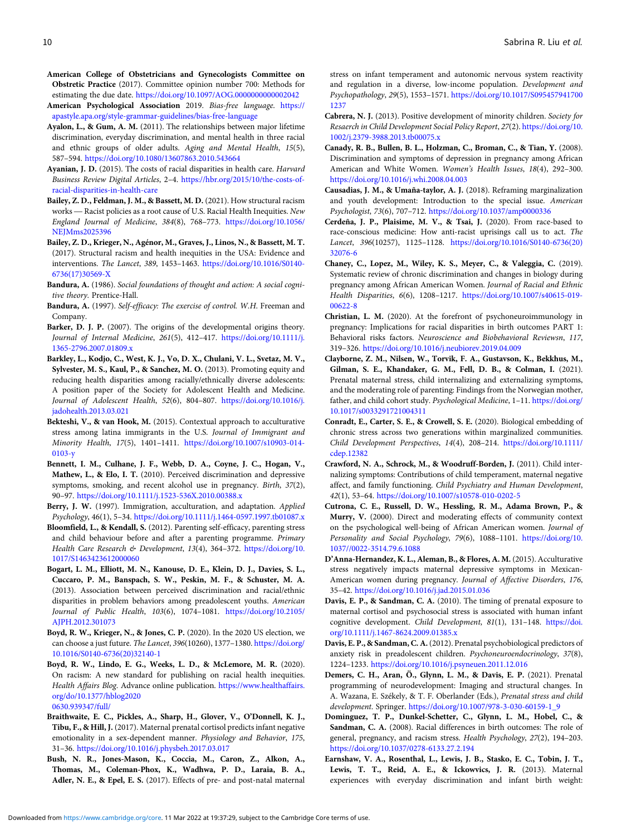- <span id="page-11-0"></span>American College of Obstetricians and Gynecologists Committee on Obstretic Practice (2017). Committee opinion number 700: Methods for estimating the due date. <https://doi.org/10.1097/AOG.0000000000002042>
- American Psychological Association 2019. Bias-free language. [https://](https://apastyle.apa.org/style-grammar-guidelines/bias-free-language) [apastyle.apa.org/style-grammar-guidelines/bias-free-language](https://apastyle.apa.org/style-grammar-guidelines/bias-free-language)
- Ayalon, L., & Gum, A. M. (2011). The relationships between major lifetime discrimination, everyday discrimination, and mental health in three racial and ethnic groups of older adults. Aging and Mental Health, 15(5), 587–594. <https://doi.org/10.1080/13607863.2010.543664>
- Ayanian, J. D. (2015). The costs of racial disparities in health care. Harvard Business Review Digital Articles, 2–4. [https://hbr.org/2015/10/the-costs-of](https://hbr.org/2015/10/the-costs-of-racial-disparities-in-health-care)[racial-disparities-in-health-care](https://hbr.org/2015/10/the-costs-of-racial-disparities-in-health-care) Business Review Digital Articles, 2–4. https://hbr.org/2015/10/the-costs-of-<br>racial-disparities-in-health-care<br>ailey, Z. D., Feldman, J. M., & Bassett, M. D. (2021). How structural racism<br>works — Racist policies as a root
- Bailey, Z. D., Feldman, J. M., & Bassett, M. D. (2021). How structural racism England Journal of Medicine, 384(8), 768–773. [https://doi.org/10.1056/](https://doi.org/10.1056/NEJMms2025396) [NEJMms2025396](https://doi.org/10.1056/NEJMms2025396)
- Bailey, Z. D., Krieger, N., Agénor, M., Graves, J., Linos, N., & Bassett, M. T. (2017). Structural racism and health inequities in the USA: Evidence and interventions. The Lancet, 389, 1453–1463. [https://doi.org/10.1016/S0140-](https://doi.org/10.1016/S0140-6736(17)30569-X) [6736\(17\)30569-X](https://doi.org/10.1016/S0140-6736(17)30569-X)
- Bandura, A. (1986). Social foundations of thought and action: A social cognitive theory. Prentice-Hall.
- Bandura, A. (1997). Self-efficacy: The exercise of control. W.H. Freeman and Company.
- Barker, D. J. P. (2007). The origins of the developmental origins theory. Journal of Internal Medicine, 261(5), 412–417. [https://doi.org/10.1111/j.](https://doi.org/10.1111/j.1365-2796.2007.01809.x) [1365-2796.2007.01809.x](https://doi.org/10.1111/j.1365-2796.2007.01809.x)
- Barkley, L., Kodjo, C., West, K. J., Vo, D. X., Chulani, V. L., Svetaz, M. V., Sylvester, M. S., Kaul, P., & Sanchez, M. O. (2013). Promoting equity and reducing health disparities among racially/ethnically diverse adolescents: A position paper of the Society for Adolescent Health and Medicine. Journal of Adolescent Health, 52(6), 804–807. [https://doi.org/10.1016/j.](https://doi.org/10.1016/j.jadohealth.2013.03.021) [jadohealth.2013.03.021](https://doi.org/10.1016/j.jadohealth.2013.03.021)
- Bekteshi, V., & van Hook, M. (2015). Contextual approach to acculturative stress among latina immigrants in the U.S. Journal of Immigrant and Minority Health, 17(5), 1401–1411. [https://doi.org/10.1007/s10903-014-](https://doi.org/10.1007/s10903-014-0103-y) [0103-y](https://doi.org/10.1007/s10903-014-0103-y)
- Bennett, I. M., Culhane, J. F., Webb, D. A., Coyne, J. C., Hogan, V., Mathew, L., & Elo, I. T. (2010). Perceived discrimination and depressive symptoms, smoking, and recent alcohol use in pregnancy. Birth, 37(2), 90–97. <https://doi.org/10.1111/j.1523-536X.2010.00388.x>
- Berry, J. W. (1997). Immigration, acculturation, and adaptation. Applied Psychology, 46(1), 5–34. <https://doi.org/10.1111/j.1464-0597.1997.tb01087.x>
- Bloomfield, L., & Kendall, S. (2012). Parenting self-efficacy, parenting stress and child behaviour before and after a parenting programme. Primary Health Care Research & Development, 13(4), 364-372. [https://doi.org/10.](https://doi.org/10.1017/S1463423612000060) [1017/S1463423612000060](https://doi.org/10.1017/S1463423612000060)
- Bogart, L. M., Elliott, M. N., Kanouse, D. E., Klein, D. J., Davies, S. L., Cuccaro, P. M., Banspach, S. W., Peskin, M. F., & Schuster, M. A. (2013). Association between perceived discrimination and racial/ethnic disparities in problem behaviors among preadolescent youths. American Journal of Public Health, 103(6), 1074–1081. [https://doi.org/10.2105/](https://doi.org/10.2105/AJPH.2012.301073) [AJPH.2012.301073](https://doi.org/10.2105/AJPH.2012.301073)
- Boyd, R. W., Krieger, N., & Jones, C. P. (2020). In the 2020 US election, we can choose a just future. The Lancet, 396(10260), 1377–1380. [https://doi.org/](https://doi.org/10.1016/S0140-6736(20)32140-1) [10.1016/S0140-6736\(20\)32140-1](https://doi.org/10.1016/S0140-6736(20)32140-1)
- Boyd, R. W., Lindo, E. G., Weeks, L. D., & McLemore, M. R. (2020). On racism: A new standard for publishing on racial health inequities. Health Affairs Blog. Advance online publication. [https://www.healthaffairs.](https://www.healthaffairs.org/do/10.1377/hblog20200630.939347/full/) [org/do/10.1377/hblog2020](https://www.healthaffairs.org/do/10.1377/hblog20200630.939347/full/) [0630.939347/full/](https://www.healthaffairs.org/do/10.1377/hblog20200630.939347/full/)
- Braithwaite, E. C., Pickles, A., Sharp, H., Glover, V., O'Donnell, K. J., Tibu, F., & Hill, J. (2017). Maternal prenatal cortisol predicts infant negative emotionality in a sex-dependent manner. Physiology and Behavior, 175, 31–36. <https://doi.org/10.1016/j.physbeh.2017.03.017>
- Bush, N. R., Jones-Mason, K., Coccia, M., Caron, Z., Alkon, A., Thomas, M., Coleman-Phox, K., Wadhwa, P. D., Laraia, B. A., Adler, N. E., & Epel, E. S. (2017). Effects of pre- and post-natal maternal

stress on infant temperament and autonomic nervous system reactivity and regulation in a diverse, low-income population. Development and Psychopathology, 29(5), 1553–1571. [https://doi.org/10.1017/S095457941700](https://doi.org/10.1017/S0954579417001237) [1237](https://doi.org/10.1017/S0954579417001237)

- Cabrera, N. J. (2013). Positive development of minority children. Society for Resaerch in Child Development Social Policy Report, 27(2). [https://doi.org/10.](https://doi.org/10.1017/s0954579400003059) [1002/j.2379-3988.2013.tb00075.x](https://doi.org/10.1017/s0954579400003059)
- Canady, R. B., Bullen, B. L., Holzman, C., Broman, C., & Tian, Y. (2008). Discrimination and symptoms of depression in pregnancy among African American and White Women. Women's Health Issues, 18(4), 292–300. <https://doi.org/10.1016/j.whi.2008.04.003>
- Causadias, J. M., & Umaña-taylor, A. J. (2018). Reframing marginalization and youth development: Introduction to the special issue. American Psychologist, 73(6), 707–712. <https://doi.org/10.1037/amp0000336>
- Cerdeña, J. P., Plaisime, M. V., & Tsai, J. (2020). From race-based to race-conscious medicine: How anti-racist uprisings call us to act. The Lancet, 396(10257), 1125–1128. [https://doi.org/10.1016/S0140-6736\(20\)](https://doi.org/10.1016/S0140-6736(20)32076-6) [32076-6](https://doi.org/10.1016/S0140-6736(20)32076-6)
- Chaney, C., Lopez, M., Wiley, K. S., Meyer, C., & Valeggia, C. (2019). Systematic review of chronic discrimination and changes in biology during pregnancy among African American Women. Journal of Racial and Ethnic Health Disparities, 6(6), 1208–1217. [https://doi.org/10.1007/s40615-019-](https://doi.org/10.1007/s40615-019-00622-8) [00622-8](https://doi.org/10.1007/s40615-019-00622-8)
- Christian, L. M. (2020). At the forefront of psychoneuroimmunology in pregnancy: Implications for racial disparities in birth outcomes PART 1: Behavioral risks factors. Neuroscience and Biobehavioral Reviewsn, 117, 319–326. <https://doi.org/10.1016/j.neubiorev.2019.04.009>
- Clayborne, Z. M., Nilsen, W., Torvik, F. A., Gustavson, K., Bekkhus, M., Gilman, S. E., Khandaker, G. M., Fell, D. B., & Colman, I. (2021). Prenatal maternal stress, child internalizing and externalizing symptoms, and the moderating role of parenting: Findings from the Norwegian mother, father, and child cohort study. Psychological Medicine, 1–11. [https://doi.org/](https://doi.org/10.1017/s0033291721004311) [10.1017/s0033291721004311](https://doi.org/10.1017/s0033291721004311)
- Conradt, E., Carter, S. E., & Crowell, S. E. (2020). Biological embedding of chronic stress across two generations within marginalized communities. Child Development Perspectives, 14(4), 208–214. [https://doi.org/10.1111/](https://doi.org/10.1111/cdep.12382) [cdep.12382](https://doi.org/10.1111/cdep.12382)
- Crawford, N. A., Schrock, M., & Woodruff-Borden, J. (2011). Child internalizing symptoms: Contributions of child temperament, maternal negative affect, and family functioning. Child Psychiatry and Human Development, 42(1), 53–64. <https://doi.org/10.1007/s10578-010-0202-5>
- Cutrona, C. E., Russell, D. W., Hessling, R. M., Adama Brown, P., & Murry, V. (2000). Direct and moderating effects of community context on the psychological well-being of African American women. Journal of Personality and Social Psychology, 79(6), 1088–1101. [https://doi.org/10.](https://doi.org/10.1037//0022-3514.79.6.1088) [1037//0022-3514.79.6.1088](https://doi.org/10.1037//0022-3514.79.6.1088)
- D'Anna-Hernandez, K. L., Aleman, B., & Flores, A. M. (2015). Acculturative stress negatively impacts maternal depressive symptoms in Mexican-American women during pregnancy. Journal of Affective Disorders, 176, 35–42. <https://doi.org/10.1016/j.jad.2015.01.036>
- Davis, E. P., & Sandman, C. A. (2010). The timing of prenatal exposure to maternal cortisol and psychosocial stress is associated with human infant cognitive development. Child Development, 81(1), 131–148. [https://doi.](https://doi.org/10.1111/j.1467-8624.2009.01385.x) [org/10.1111/j.1467-8624.2009.01385.x](https://doi.org/10.1111/j.1467-8624.2009.01385.x)
- Davis, E. P., & Sandman, C. A.(2012). Prenatal psychobiological predictors of anxiety risk in preadolescent children. Psychoneuroendocrinology, 37(8), 1224–1233. <https://doi.org/10.1016/j.psyneuen.2011.12.016>
- Demers, C. H., Aran, Ö., Glynn, L. M., & Davis, E. P. (2021). Prenatal programming of neurodevelopment: Imaging and structural changes. In A. Wazana, E. Székely, & T. F. Oberlander (Eds.), Prenatal stress and child development. Springer. [https://doi.org/10.1007/978-3-030-60159-1\\_9](https://doi.org/10.1007/978-3-030-60159-1_9)
- Dominguez, T. P., Dunkel-Schetter, C., Glynn, L. M., Hobel, C., & Sandman, C. A. (2008). Racial differences in birth outcomes: The role of general, pregnancy, and racism stress. Health Psychology, 27(2), 194–203. <https://doi.org/10.1037/0278-6133.27.2.194>
- Earnshaw, V. A., Rosenthal, L., Lewis, J. B., Stasko, E. C., Tobin, J. T., Lewis, T. T., Reid, A. E., & Ickowvics, J. R. (2013). Maternal experiences with everyday discrimination and infant birth weight: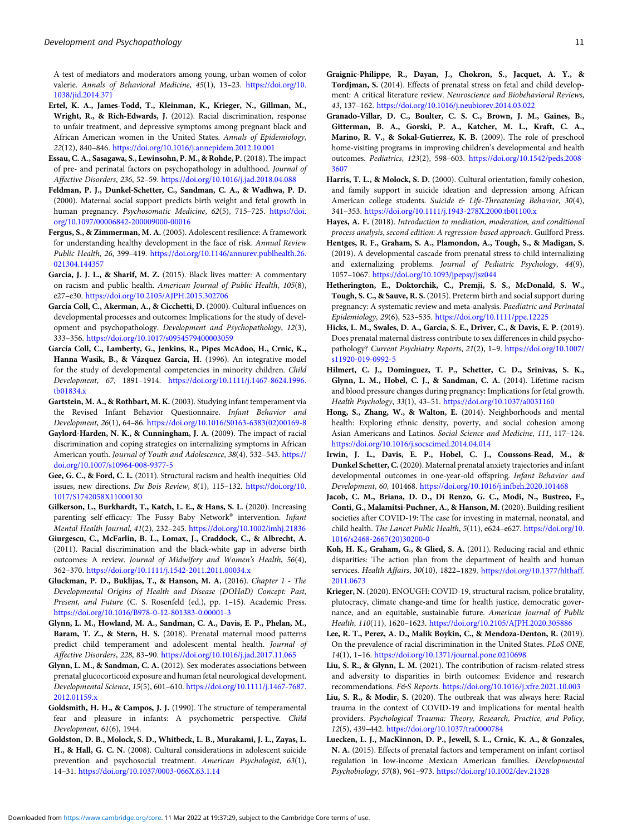<span id="page-12-0"></span>A test of mediators and moderators among young, urban women of color valerie. Annals of Behavioral Medicine, 45(1), 13-23. [https://doi.org/10.](https://doi.org/10.1038/jid.2014.371) [1038/jid.2014.371](https://doi.org/10.1038/jid.2014.371)

- Ertel, K. A., James-Todd, T., Kleinman, K., Krieger, N., Gillman, M., Wright, R., & Rich-Edwards, J. (2012). Racial discrimination, response to unfair treatment, and depressive symptoms among pregnant black and African American women in the United States. Annals of Epidemiology, 22(12), 840–846. <https://doi.org/10.1016/j.annepidem.2012.10.001>
- Essau, C. A., Sasagawa, S., Lewinsohn, P. M., & Rohde, P. (2018). The impact of pre- and perinatal factors on psychopathology in adulthood. Journal of Affective Disorders, 236, 52–59. <https://doi.org/10.1016/j.jad.2018.04.088>
- Feldman, P. J., Dunkel-Schetter, C., Sandman, C. A., & Wadhwa, P. D. (2000). Maternal social support predicts birth weight and fetal growth in human pregnancy. Psychosomatic Medicine, 62(5), 715–725. [https://doi.](https://doi.org/10.1097/00006842-200009000-00016) [org/10.1097/00006842-200009000-00016](https://doi.org/10.1097/00006842-200009000-00016)
- Fergus, S., & Zimmerman, M. A. (2005). Adolescent resilience: A framework for understanding healthy development in the face of risk. Annual Review Public Health, 26, 399–419. [https://doi.org/10.1146/annurev.publhealth.26.](https://doi.org/10.1146/annurev.publhealth.26.021304.144357) [021304.144357](https://doi.org/10.1146/annurev.publhealth.26.021304.144357)
- García, J. J. L., & Sharif, M. Z. (2015). Black lives matter: A commentary on racism and public health. American Journal of Public Health, 105(8), e27–e30. <https://doi.org/10.2105/AJPH.2015.302706>
- García Coll, C., Akerman, A., & Cicchetti, D. (2000). Cultural influences on developmental processes and outcomes: Implications for the study of development and psychopathology. Development and Psychopathology, 12(3), 333–356. <https://doi.org/10.1017/s0954579400003059>
- García Coll, C., Lamberty, G., Jenkins, R., Pipes McAdoo, H., Crnic, K., Hanna Wasik, B., & Vázquez García, H. (1996). An integrative model for the study of developmental competencies in minority children. Child Development, 67, 1891–1914. [https://doi.org/10.1111/j.1467-8624.1996.](https://doi.org/10.1111/j.1467-8624.1996.tb01834.x) [tb01834.x](https://doi.org/10.1111/j.1467-8624.1996.tb01834.x)
- Gartstein, M. A., & Rothbart, M. K. (2003). Studying infant temperament via the Revised Infant Behavior Questionnaire. Infant Behavior and Development, 26(1), 64–86. [https://doi.org/10.1016/S0163-6383\(02\)00169-8](https://doi.org/10.1016/S0163-6383(02)00169-8)
- Gaylord-Harden, N. K., & Cunningham, J. A. (2009). The impact of racial discrimination and coping strategies on internalizing symptoms in African American youth. Journal of Youth and Adolescence, 38(4), 532-543. [https://](https://doi.org/10.1007/s10964-008-9377-5) [doi.org/10.1007/s10964-008-9377-5](https://doi.org/10.1007/s10964-008-9377-5)
- Gee, G. C., & Ford, C. L. (2011). Structural racism and health inequities: Old issues, new directions. Du Bois Review, 8(1), 115–132. [https://doi.org/10.](https://doi.org/10.1017/S1742058X11000130) [1017/S1742058X11000130](https://doi.org/10.1017/S1742058X11000130)
- Gilkerson, L., Burkhardt, T., Katch, L. E., & Hans, S. L. (2020). Increasing parenting self-efficacy: The Fussy Baby Network® intervention. Infant Mental Health Journal, 41(2), 232–245. <https://doi.org/10.1002/imhj.21836>
- Giurgescu, C., McFarlin, B. L., Lomax, J., Craddock, C., & Albrecht, A. (2011). Racial discrimination and the black-white gap in adverse birth outcomes: A review. Journal of Midwifery and Women's Health, 56(4), 362–370. <https://doi.org/10.1111/j.1542-2011.2011.00034.x>
- Gluckman, P. D., Buklijas, T., & Hanson, M. A. (2016). Chapter 1 The Developmental Origins of Health and Disease (DOHaD) Concept: Past, Present, and Future (C. S. Rosenfeld (ed.), pp. 1–15). Academic Press. <https://doi.org/10.1016/B978-0-12-801383-0.00001-3>
- Glynn, L. M., Howland, M. A., Sandman, C. A., Davis, E. P., Phelan, M., Baram, T. Z., & Stern, H. S. (2018). Prenatal maternal mood patterns predict child temperament and adolescent mental health. Journal of Affective Disorders, 228, 83–90. <https://doi.org/10.1016/j.jad.2017.11.065>
- Glynn, L. M., & Sandman, C. A. (2012). Sex moderates associations between prenatal glucocorticoid exposure and human fetal neurological development. Developmental Science, 15(5), 601–610. [https://doi.org/10.1111/j.1467-7687.](https://doi.org/10.1111/j.1467-7687.2012.01159.x) [2012.01159.x](https://doi.org/10.1111/j.1467-7687.2012.01159.x)
- Goldsmith, H. H., & Campos, J. J. (1990). The structure of temperamental fear and pleasure in infants: A psychometric perspective. Child Development, 61(6), 1944.
- Goldston, D. B., Molock, S. D., Whitbeck, L. B., Murakami, J. L., Zayas, L. H., & Hall, G. C. N. (2008). Cultural considerations in adolescent suicide prevention and psychosocial treatment. American Psychologist, 63(1), 14–31. <https://doi.org/10.1037/0003-066X.63.1.14>
- Graignic-Philippe, R., Dayan, J., Chokron, S., Jacquet, A. Y., & Tordjman, S. (2014). Effects of prenatal stress on fetal and child development: A critical literature review. Neuroscience and Biobehavioral Reviews, 43, 137–162. <https://doi.org/10.1016/j.neubiorev.2014.03.022>
- Granado-Villar, D. C., Boulter, C. S. C., Brown, J. M., Gaines, B., Gitterman, B. A., Gorski, P. A., Katcher, M. L., Kraft, C. A., Marino, R. V., & Sokal-Gutierrez, K. B. (2009). The role of preschool home-visiting programs in improving children's developmental and health outcomes. Pediatrics, 123(2), 598–603. [https://doi.org/10.1542/peds.2008-](https://doi.org/10.1542/peds.2008-3607) [3607](https://doi.org/10.1542/peds.2008-3607)
- Harris, T. L., & Molock, S. D. (2000). Cultural orientation, family cohesion, and family support in suicide ideation and depression among African American college students. Suicide & Life-Threatening Behavior, 30(4), 341–353. <https://doi.org/10.1111/j.1943-278X.2000.tb01100.x>
- Hayes, A. F. (2018). Introduction to mediation, moderation, and conditional process analysis, second edition: A regression-based approach. Guilford Press.
- Hentges, R. F., Graham, S. A., Plamondon, A., Tough, S., & Madigan, S. (2019). A developmental cascade from prenatal stress to child internalizing and externalizing problems. Journal of Pediatric Psychology, 44(9), 1057–1067. <https://doi.org/10.1093/jpepsy/jsz044>
- Hetherington, E., Doktorchik, C., Premji, S. S., McDonald, S. W., Tough, S. C., & Sauve, R. S. (2015). Preterm birth and social support during pregnancy: A systematic review and meta-analysis. Paediatric and Perinatal Epidemiology, 29(6), 523–535. <https://doi.org/10.1111/ppe.12225>
- Hicks, L. M., Swales, D. A., Garcia, S. E., Driver, C., & Davis, E. P. (2019). Does prenatal maternal distress contribute to sex differences in child psychopathology? Current Psychiatry Reports, 21(2), 1–9. [https://doi.org/10.1007/](https://doi.org/10.1007/s11920-019-0992-5) [s11920-019-0992-5](https://doi.org/10.1007/s11920-019-0992-5)
- Hilmert, C. J., Dominguez, T. P., Schetter, C. D., Srinivas, S. K., Glynn, L. M., Hobel, C. J., & Sandman, C. A. (2014). Lifetime racism and blood pressure changes during pregnancy: Implications for fetal growth. Health Psychology, 33(1), 43–51. <https://doi.org/10.1037/a0031160>
- Hong, S., Zhang, W., & Walton, E. (2014). Neighborhoods and mental health: Exploring ethnic density, poverty, and social cohesion among Asian Americans and Latinos. Social Science and Medicine, 111, 117–124. <https://doi.org/10.1016/j.socscimed.2014.04.014>
- Irwin, J. L., Davis, E. P., Hobel, C. J., Coussons-Read, M., & Dunkel Schetter, C. (2020). Maternal prenatal anxiety trajectories and infant developmental outcomes in one-year-old offspring. Infant Behavior and Development, 60, 101468. <https://doi.org/10.1016/j.infbeh.2020.101468>
- Jacob, C. M., Briana, D. D., Di Renzo, G. C., Modi, N., Bustreo, F., Conti, G., Malamitsi-Puchner, A., & Hanson, M. (2020). Building resilient societies after COVID-19: The case for investing in maternal, neonatal, and child health. The Lancet Public Health, 5(11), e624–e627. [https://doi.org/10.](https://doi.org/10.1016/s2468-2667(20)30200-0) [1016/s2468-2667\(20\)30200-0](https://doi.org/10.1016/s2468-2667(20)30200-0)
- Koh, H. K., Graham, G., & Glied, S. A. (2011). Reducing racial and ethnic disparities: The action plan from the department of health and human services. Health Affairs, 30(10), 1822-1829. [https://doi.org/10.1377/hlthaff.](https://doi.org/10.1377/hlthaff.2011.0673) [2011.0673](https://doi.org/10.1377/hlthaff.2011.0673)
- Krieger, N. (2020). ENOUGH: COVID-19, structural racism, police brutality, plutocracy, climate change-and time for health justice, democratic governance, and an equitable, sustainable future. American Journal of Public Health, 110(11), 1620–1623. <https://doi.org/10.2105/AJPH.2020.305886>
- Lee, R. T., Perez, A. D., Malik Boykin, C., & Mendoza-Denton, R. (2019). On the prevalence of racial discrimination in the United States. PLoS ONE, 14(1), 1–16. <https://doi.org/10.1371/journal.pone.0210698>
- Liu, S. R., & Glynn, L. M. (2021). The contribution of racism-related stress and adversity to disparities in birth outcomes: Evidence and research recommendations. F&S Reports. <https://doi.org/10.1016/j.xfre.2021.10.003>
- Liu, S. R., & Modir, S. (2020). The outbreak that was always here: Racial trauma in the context of COVID-19 and implications for mental health providers. Psychological Trauma: Theory, Research, Practice, and Policy, 12(5), 439–442. <https://doi.org/10.1037/tra0000784>
- Luecken, L. J., MacKinnon, D. P., Jewell, S. L., Crnic, K. A., & Gonzales, N. A. (2015). Effects of prenatal factors and temperament on infant cortisol regulation in low-income Mexican American families. Developmental Psychobiology, 57(8), 961–973. <https://doi.org/10.1002/dev.21328>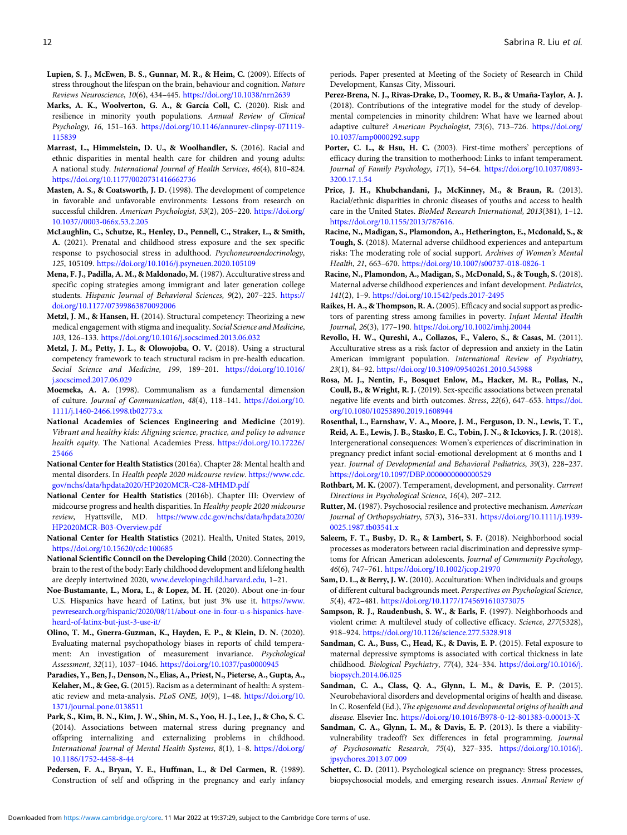- <span id="page-13-0"></span>Lupien, S. J., McEwen, B. S., Gunnar, M. R., & Heim, C. (2009). Effects of stress throughout the lifespan on the brain, behaviour and cognition. Nature Reviews Neuroscience, 10(6), 434–445. <https://doi.org/10.1038/nrn2639>
- Marks, A. K., Woolverton, G. A., & García Coll, C. (2020). Risk and resilience in minority youth populations. Annual Review of Clinical Psychology, 16, 151–163. [https://doi.org/10.1146/annurev-clinpsy-071119-](https://doi.org/10.1146/annurev-clinpsy-071119-115839) [115839](https://doi.org/10.1146/annurev-clinpsy-071119-115839)
- Marrast, L., Himmelstein, D. U., & Woolhandler, S. (2016). Racial and ethnic disparities in mental health care for children and young adults: A national study. International Journal of Health Services, 46(4), 810–824. <https://doi.org/10.1177/0020731416662736>
- Masten, A. S., & Coatsworth, J. D. (1998). The development of competence in favorable and unfavorable environments: Lessons from research on successful children. American Psychologist, 53(2), 205-220. [https://doi.org/](https://doi.org/10.1037//0003-066x.53.2.205) [10.1037//0003-066x.53.2.205](https://doi.org/10.1037//0003-066x.53.2.205)
- McLaughlin, C., Schutze, R., Henley, D., Pennell, C., Straker, L., & Smith, A. (2021). Prenatal and childhood stress exposure and the sex specific response to psychosocial stress in adulthood. Psychoneuroendocrinology, 125, 105109. <https://doi.org/10.1016/j.psyneuen.2020.105109>
- Mena, F. J., Padilla, A. M., & Maldonado, M. (1987). Acculturative stress and specific coping strategies among immigrant and later generation college students. Hispanic Journal of Behavioral Sciences, 9(2), 207–225. [https://](https://doi.org/10.1177/07399863870092006) [doi.org/10.1177/07399863870092006](https://doi.org/10.1177/07399863870092006)
- Metzl, J. M., & Hansen, H. (2014). Structural competency: Theorizing a new medical engagement with stigma and inequality. Social Science and Medicine, 103, 126–133. <https://doi.org/10.1016/j.socscimed.2013.06.032>
- Metzl, J. M., Petty, J. L., & Olowojoba, O. V. (2018). Using a structural competency framework to teach structural racism in pre-health education. Social Science and Medicine, 199, 189–201. [https://doi.org/10.1016/](https://doi.org/10.1016/j.socscimed.2017.06.029) [j.socscimed.2017.06.029](https://doi.org/10.1016/j.socscimed.2017.06.029)
- Moemeka, A. A. (1998). Communalism as a fundamental dimension of culture. Journal of Communication, 48(4), 118–141. [https://doi.org/10.](https://doi.org/10.1111/j.1460-2466.1998.tb02773.x) [1111/j.1460-2466.1998.tb02773.x](https://doi.org/10.1111/j.1460-2466.1998.tb02773.x)
- National Academies of Sciences Engineering and Medicine (2019). Vibrant and healthy kids: Aligning science, practice, and policy to advance health equity. The National Academies Press. [https://doi.org/10.17226/](https://doi.org/10.17226/25466) [25466](https://doi.org/10.17226/25466)
- National Center for Health Statistics (2016a). Chapter 28: Mental health and mental disorders. In Health people 2020 midcourse review. [https://www.cdc.](https://www.cdc.gov/nchs/data/hpdata2020/HP2020MCR-C28-MHMD.pdf) [gov/nchs/data/hpdata2020/HP2020MCR-C28-MHMD.pdf](https://www.cdc.gov/nchs/data/hpdata2020/HP2020MCR-C28-MHMD.pdf)
- National Center for Health Statistics (2016b). Chapter III: Overview of midcourse progress and health disparities. In Healthy people 2020 midcourse review, Hyattsville, MD. [https://www.cdc.gov/nchs/data/hpdata2020/](https://www.cdc.gov/nchs/data/hpdata2020/HP2020MCR-B03-Overview.pdf) [HP2020MCR-B03-Overview.pdf](https://www.cdc.gov/nchs/data/hpdata2020/HP2020MCR-B03-Overview.pdf)
- National Center for Health Statistics (2021). Health, United States, 2019, <https://doi.org/10.15620/cdc:100685>
- National Scientific Council on the Developing Child (2020). Connecting the brain to the rest of the body: Early childhood development and lifelong health are deeply intertwined 2020, <www.developingchild.harvard.edu>, 1–21.
- Noe-Bustamante, L., Mora, L., & Lopez, M. H. (2020). About one-in-four U.S. Hispanics have heard of Latinx, but just 3% use it. [https://www.](https://www.pewresearch.org/hispanic/2020/08/11/about-one-in-four-u-s-hispanics-have-heard-of-latinx-but-just-3-use-it/) [pewresearch.org/hispanic/2020/08/11/about-one-in-four-u-s-hispanics-have](https://www.pewresearch.org/hispanic/2020/08/11/about-one-in-four-u-s-hispanics-have-heard-of-latinx-but-just-3-use-it/)[heard-of-latinx-but-just-3-use-it/](https://www.pewresearch.org/hispanic/2020/08/11/about-one-in-four-u-s-hispanics-have-heard-of-latinx-but-just-3-use-it/)
- Olino, T. M., Guerra-Guzman, K., Hayden, E. P., & Klein, D. N. (2020). Evaluating maternal psychopathology biases in reports of child temperament: An investigation of measurement invariance. Psychological Assessment, 32(11), 1037–1046. <https://doi.org/10.1037/pas0000945>
- Paradies, Y., Ben, J., Denson, N., Elias, A., Priest, N., Pieterse, A., Gupta, A., Kelaher, M., & Gee, G. (2015). Racism as a determinant of health: A systematic review and meta-analysis. PLoS ONE, 10(9), 1–48. [https://doi.org/10.](https://doi.org/10.1371/journal.pone.0138511) [1371/journal.pone.0138511](https://doi.org/10.1371/journal.pone.0138511)
- Park, S., Kim, B. N., Kim, J. W., Shin, M. S., Yoo, H. J., Lee, J., & Cho, S. C. (2014). Associations between maternal stress during pregnancy and offspring internalizing and externalizing problems in childhood. International Journal of Mental Health Systems, 8(1), 1–8. [https://doi.org/](https://doi.org/10.1186/1752-4458-8-44) [10.1186/1752-4458-8-44](https://doi.org/10.1186/1752-4458-8-44)
- Pedersen, F. A., Bryan, Y. E., Huffman, L., & Del Carmen, R. (1989). Construction of self and offspring in the pregnancy and early infancy

periods. Paper presented at Meeting of the Society of Research in Child Development, Kansas City, Missouri.

- Perez-Brena, N. J., Rivas-Drake, D., Toomey, R. B., & Umaña-Taylor, A. J. (2018). Contributions of the integrative model for the study of developmental competencies in minority children: What have we learned about adaptive culture? American Psychologist, 73(6), 713–726. [https://doi.org/](https://doi.org/10.1037/amp0000292.supp) [10.1037/amp0000292.supp](https://doi.org/10.1037/amp0000292.supp)
- Porter, C. L., & Hsu, H. C. (2003). First-time mothers' perceptions of efficacy during the transition to motherhood: Links to infant temperament. Journal of Family Psychology, 17(1), 54–64. [https://doi.org/10.1037/0893-](https://doi.org/10.1037/0893-3200.17.1.54) [3200.17.1.54](https://doi.org/10.1037/0893-3200.17.1.54)
- Price, J. H., Khubchandani, J., McKinney, M., & Braun, R. (2013). Racial/ethnic disparities in chronic diseases of youths and access to health care in the United States. BioMed Research International, 2013(381), 1–12. [https://doi.org/10.1155/2013/787616.](https://doi.org/10.1155/2013/787616)
- Racine, N., Madigan, S., Plamondon, A., Hetherington, E., Mcdonald, S., & Tough, S. (2018). Maternal adverse childhood experiences and antepartum risks: The moderating role of social support. Archives of Women's Mental Health, 21, 663–670. <https://doi.org/10.1007/s00737-018-0826-1>
- Racine, N., Plamondon, A., Madigan, S., McDonald, S., & Tough, S. (2018). Maternal adverse childhood experiences and infant development. Pediatrics, 141(2), 1–9. <https://doi.org/10.1542/peds.2017-2495>
- Raikes, H. A., & Thompson, R. A.(2005). Efficacy and social support as predictors of parenting stress among families in poverty. Infant Mental Health Journal, 26(3), 177–190. <https://doi.org/10.1002/imhj.20044>
- Revollo, H. W., Qureshi, A., Collazos, F., Valero, S., & Casas, M. (2011). Acculturative stress as a risk factor of depression and anxiety in the Latin American immigrant population. International Review of Psychiatry, 23(1), 84–92. <https://doi.org/10.3109/09540261.2010.545988>
- Rosa, M. J., Nentin, F., Bosquet Enlow, M., Hacker, M. R., Pollas, N., Coull, B., & Wright, R. J. (2019). Sex-specific associations between prenatal negative life events and birth outcomes. Stress, 22(6), 647–653. [https://doi.](https://doi.org/10.1080/10253890.2019.1608944) [org/10.1080/10253890.2019.1608944](https://doi.org/10.1080/10253890.2019.1608944)
- Rosenthal, L., Earnshaw, V. A., Moore, J. M., Ferguson, D. N., Lewis, T. T., Reid, A. E., Lewis, J. B., Stasko, E. C., Tobin, J. N., & Ickovics, J. R. (2018). Intergenerational consequences: Women's experiences of discrimination in pregnancy predict infant social-emotional development at 6 months and 1 year. Journal of Developmental and Behavioral Pediatrics, 39(3), 228–237. <https://doi.org/10.1097/DBP.0000000000000529>
- Rothbart, M. K. (2007). Temperament, development, and personality. Current Directions in Psychological Science, 16(4), 207–212.
- Rutter, M. (1987). Psychosocial resilence and protective mechanism. American Journal of Orthopsychiatry, 57(3), 316–331. [https://doi.org/10.1111/j.1939-](https://doi.org/) [0025.1987.tb03541.x](https://doi.org/)
- Saleem, F. T., Busby, D. R., & Lambert, S. F. (2018). Neighborhood social processes as moderators between racial discrimination and depressive symptoms for African American adolescents. Journal of Community Psychology, 46(6), 747–761. <https://doi.org/10.1002/jcop.21970>
- Sam, D. L., & Berry, J. W. (2010). Acculturation: When individuals and groups of different cultural backgrounds meet. Perspectives on Psychological Science, 5(4), 472–481. <https://doi.org/10.1177/1745691610373075>
- Sampson, R. J., Raudenbush, S. W., & Earls, F. (1997). Neighborhoods and violent crime: A multilevel study of collective efficacy. Science, 277(5328), 918–924. <https://doi.org/10.1126/science.277.5328.918>
- Sandman, C. A., Buss, C., Head, K., & Davis, E. P. (2015). Fetal exposure to maternal depressive symptoms is associated with cortical thickness in late childhood. Biological Psychiatry, 77(4), 324–334. [https://doi.org/10.1016/j.](https://doi.org/10.1016/j.biopsych.2014.06.025) [biopsych.2014.06.025](https://doi.org/10.1016/j.biopsych.2014.06.025)
- Sandman, C. A., Class, Q. A., Glynn, L. M., & Davis, E. P. (2015). Neurobehavioral disorders and developmental origins of health and disease. In C. Rosenfeld (Ed.), The epigenome and developmental origins of health and disease. Elsevier Inc. <https://doi.org/10.1016/B978-0-12-801383-0.00013-X>
- Sandman, C. A., Glynn, L. M., & Davis, E. P. (2013). Is there a viabilityvulnerability tradeoff? Sex differences in fetal programming. Journal of Psychosomatic Research, 75(4), 327–335. [https://doi.org/10.1016/j.](https://doi.org/10.1016/j.jpsychores.2013.07.009) [jpsychores.2013.07.009](https://doi.org/10.1016/j.jpsychores.2013.07.009)
- Schetter, C. D. (2011). Psychological science on pregnancy: Stress processes, biopsychosocial models, and emerging research issues. Annual Review of